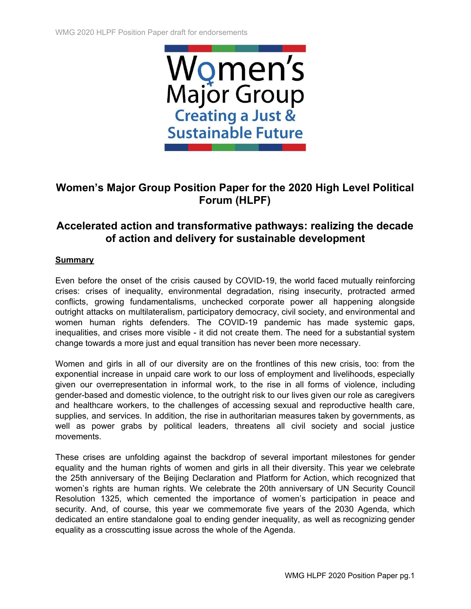

# **Women's Major Group Position Paper for the 2020 High Level Political Forum (HLPF)**

# **Accelerated action and transformative pathways: realizing the decade of action and delivery for sustainable development**

# **Summary**

Even before the onset of the crisis caused by COVID-19, the world faced mutually reinforcing crises: crises of inequality, environmental degradation, rising insecurity, protracted armed conflicts, growing fundamentalisms, unchecked corporate power all happening alongside outright attacks on multilateralism, participatory democracy, civil society, and environmental and women human rights defenders. The COVID-19 pandemic has made systemic gaps, inequalities, and crises more visible - it did not create them. The need for a substantial system change towards a more just and equal transition has never been more necessary.

Women and girls in all of our diversity are on the frontlines of this new crisis, too: from the exponential increase in unpaid care work to our loss of employment and livelihoods, especially given our overrepresentation in informal work, to the rise in all forms of violence, including gender-based and domestic violence, to the outright risk to our lives given our role as caregivers and healthcare workers, to the challenges of accessing sexual and reproductive health care, supplies, and services. In addition, the rise in authoritarian measures taken by governments, as well as power grabs by political leaders, threatens all civil society and social justice movements.

These crises are unfolding against the backdrop of several important milestones for gender equality and the human rights of women and girls in all their diversity. This year we celebrate the 25th anniversary of the Beijing Declaration and Platform for Action, which recognized that women's rights are human rights. We celebrate the 20th anniversary of UN Security Council Resolution 1325, which cemented the importance of women's participation in peace and security. And, of course, this year we commemorate five years of the 2030 Agenda, which dedicated an entire standalone goal to ending gender inequality, as well as recognizing gender equality as a crosscutting issue across the whole of the Agenda.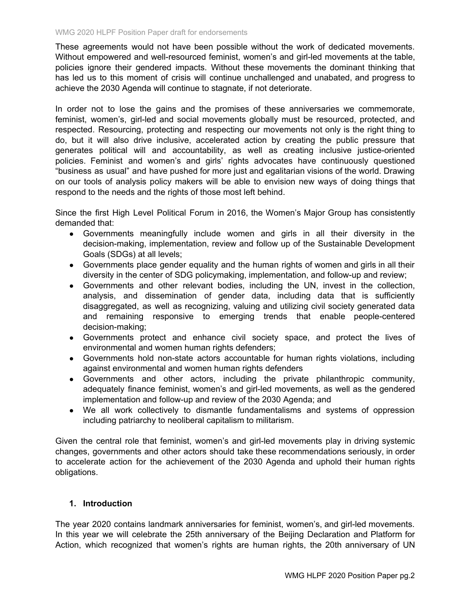These agreements would not have been possible without the work of dedicated movements. Without empowered and well-resourced feminist, women's and girl-led movements at the table, policies ignore their gendered impacts. Without these movements the dominant thinking that has led us to this moment of crisis will continue unchallenged and unabated, and progress to achieve the 2030 Agenda will continue to stagnate, if not deteriorate.

In order not to lose the gains and the promises of these anniversaries we commemorate, feminist, women's, girl-led and social movements globally must be resourced, protected, and respected. Resourcing, protecting and respecting our movements not only is the right thing to do, but it will also drive inclusive, accelerated action by creating the public pressure that generates political will and accountability, as well as creating inclusive justice-oriented policies. Feminist and women's and girls' rights advocates have continuously questioned "business as usual" and have pushed for more just and egalitarian visions of the world. Drawing on our tools of analysis policy makers will be able to envision new ways of doing things that respond to the needs and the rights of those most left behind.

Since the first High Level Political Forum in 2016, the Women's Major Group has consistently demanded that:

- Governments meaningfully include women and girls in all their diversity in the decision-making, implementation, review and follow up of the Sustainable Development Goals (SDGs) at all levels;
- Governments place gender equality and the human rights of women and girls in all their diversity in the center of SDG policymaking, implementation, and follow-up and review;
- Governments and other relevant bodies, including the UN, invest in the collection, analysis, and dissemination of gender data, including data that is sufficiently disaggregated, as well as recognizing, valuing and utilizing civil society generated data and remaining responsive to emerging trends that enable people-centered decision-making;
- Governments protect and enhance civil society space, and protect the lives of environmental and women human rights defenders;
- Governments hold non-state actors accountable for human rights violations, including against environmental and women human rights defenders
- Governments and other actors, including the private philanthropic community, adequately finance feminist, women's and girl-led movements, as well as the gendered implementation and follow-up and review of the 2030 Agenda; and
- We all work collectively to dismantle fundamentalisms and systems of oppression including patriarchy to neoliberal capitalism to militarism.

Given the central role that feminist, women's and girl-led movements play in driving systemic changes, governments and other actors should take these recommendations seriously, in order to accelerate action for the achievement of the 2030 Agenda and uphold their human rights obligations.

### **1. Introduction**

The year 2020 contains landmark anniversaries for feminist, women's, and girl-led movements. In this year we will celebrate the 25th anniversary of the Beijing Declaration and Platform for Action, which recognized that women's rights are human rights, the 20th anniversary of UN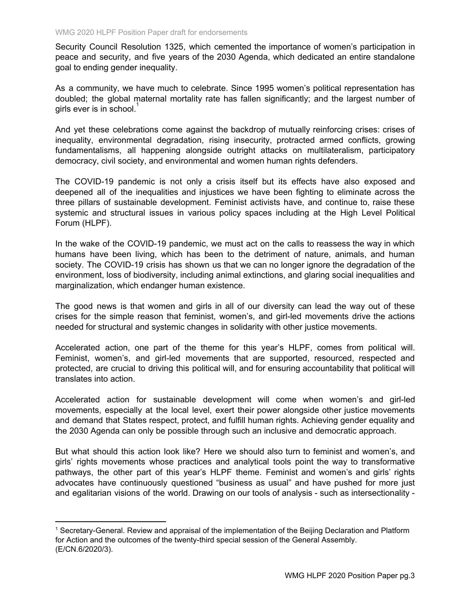Security Council Resolution 1325, which cemented the importance of women's participation in peace and security, and five years of the 2030 Agenda, which dedicated an entire standalone goal to ending gender inequality.

As a community, we have much to celebrate. Since 1995 women's political representation has doubled; the global maternal mortality rate has fallen significantly; and the largest number of girls ever is in school.<sup>1</sup>

And yet these celebrations come against the backdrop of mutually reinforcing crises: crises of inequality, environmental degradation, rising insecurity, protracted armed conflicts, growing fundamentalisms, all happening alongside outright attacks on multilateralism, participatory democracy, civil society, and environmental and women human rights defenders.

The COVID-19 pandemic is not only a crisis itself but its effects have also exposed and deepened all of the inequalities and injustices we have been fighting to eliminate across the three pillars of sustainable development. Feminist activists have, and continue to, raise these systemic and structural issues in various policy spaces including at the High Level Political Forum (HLPF).

In the wake of the COVID-19 pandemic, we must act on the calls to reassess the way in which humans have been living, which has been to the detriment of nature, animals, and human society. The COVID-19 crisis has shown us that we can no longer ignore the degradation of the environment, loss of biodiversity, including animal extinctions, and glaring social inequalities and marginalization, which endanger human existence.

The good news is that women and girls in all of our diversity can lead the way out of these crises for the simple reason that feminist, women's, and girl-led movements drive the actions needed for structural and systemic changes in solidarity with other justice movements.

Accelerated action, one part of the theme for this year's HLPF, comes from political will. Feminist, women's, and girl-led movements that are supported, resourced, respected and protected, are crucial to driving this political will, and for ensuring accountability that political will translates into action.

Accelerated action for sustainable development will come when women's and girl-led movements, especially at the local level, exert their power alongside other justice movements and demand that States respect, protect, and fulfill human rights. Achieving gender equality and the 2030 Agenda can only be possible through such an inclusive and democratic approach.

But what should this action look like? Here we should also turn to feminist and women's, and girls' rights movements whose practices and analytical tools point the way to transformative pathways, the other part of this year's HLPF theme. Feminist and women's and girls' rights advocates have continuously questioned "business as usual" and have pushed for more just and egalitarian visions of the world. Drawing on our tools of analysis - such as intersectionality -

<sup>1</sup> Secretary-General. Review and appraisal of the implementation of the Beijing Declaration and Platform for Action and the outcomes of the twenty-third special session of the General Assembly. (E/CN.6/2020/3).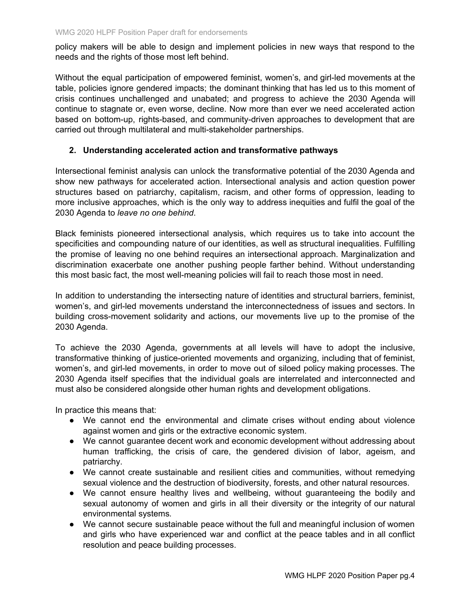policy makers will be able to design and implement policies in new ways that respond to the needs and the rights of those most left behind.

Without the equal participation of empowered feminist, women's, and girl-led movements at the table, policies ignore gendered impacts; the dominant thinking that has led us to this moment of crisis continues unchallenged and unabated; and progress to achieve the 2030 Agenda will continue to stagnate or, even worse, decline. Now more than ever we need accelerated action based on bottom-up, rights-based, and community-driven approaches to development that are carried out through multilateral and multi-stakeholder partnerships.

# **2. Understanding accelerated action and transformative pathways**

Intersectional feminist analysis can unlock the transformative potential of the 2030 Agenda and show new pathways for accelerated action. Intersectional analysis and action question power structures based on patriarchy, capitalism, racism, and other forms of oppression, leading to more inclusive approaches, which is the only way to address inequities and fulfil the goal of the 2030 Agenda to *leave no one behind*.

Black feminists pioneered intersectional analysis, which requires us to take into account the specificities and compounding nature of our identities, as well as structural inequalities. Fulfilling the promise of leaving no one behind requires an intersectional approach. Marginalization and discrimination exacerbate one another pushing people farther behind. Without understanding this most basic fact, the most well-meaning policies will fail to reach those most in need.

In addition to understanding the intersecting nature of identities and structural barriers, feminist, women's, and girl-led movements understand the interconnectedness of issues and sectors. In building cross-movement solidarity and actions, our movements live up to the promise of the 2030 Agenda.

To achieve the 2030 Agenda, governments at all levels will have to adopt the inclusive, transformative thinking of justice-oriented movements and organizing, including that of feminist, women's, and girl-led movements, in order to move out of siloed policy making processes. The 2030 Agenda itself specifies that the individual goals are interrelated and interconnected and must also be considered alongside other human rights and development obligations.

In practice this means that:

- We cannot end the environmental and climate crises without ending about violence against women and girls or the extractive economic system.
- We cannot guarantee decent work and economic development without addressing about human trafficking, the crisis of care, the gendered division of labor, ageism, and patriarchy.
- We cannot create sustainable and resilient cities and communities, without remedying sexual violence and the destruction of biodiversity, forests, and other natural resources.
- We cannot ensure healthy lives and wellbeing, without guaranteeing the bodily and sexual autonomy of women and girls in all their diversity or the integrity of our natural environmental systems*.*
- We cannot secure sustainable peace without the full and meaningful inclusion of women and girls who have experienced war and conflict at the peace tables and in all conflict resolution and peace building processes.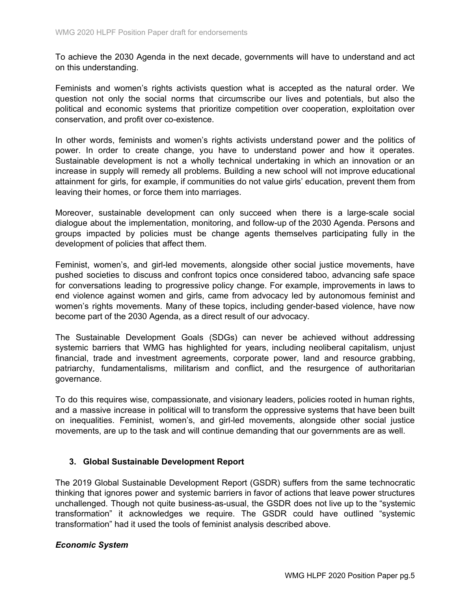To achieve the 2030 Agenda in the next decade, governments will have to understand and act on this understanding.

Feminists and women's rights activists question what is accepted as the natural order. We question not only the social norms that circumscribe our lives and potentials, but also the political and economic systems that prioritize competition over cooperation, exploitation over conservation, and profit over co-existence.

In other words, feminists and women's rights activists understand power and the politics of power. In order to create change, you have to understand power and how it operates. Sustainable development is not a wholly technical undertaking in which an innovation or an increase in supply will remedy all problems. Building a new school will not improve educational attainment for girls, for example, if communities do not value girls' education, prevent them from leaving their homes, or force them into marriages.

Moreover, sustainable development can only succeed when there is a large-scale social dialogue about the implementation, monitoring, and follow-up of the 2030 Agenda. Persons and groups impacted by policies must be change agents themselves participating fully in the development of policies that affect them.

Feminist, women's, and girl-led movements, alongside other social justice movements, have pushed societies to discuss and confront topics once considered taboo, advancing safe space for conversations leading to progressive policy change. For example, improvements in laws to end violence against women and girls, came from advocacy led by autonomous feminist and women's rights movements. Many of these topics, including gender-based violence, have now become part of the 2030 Agenda, as a direct result of our advocacy.

The Sustainable Development Goals (SDGs) can never be achieved without addressing systemic barriers that WMG has highlighted for years, including neoliberal capitalism, unjust financial, trade and investment agreements, corporate power, land and resource grabbing, patriarchy, fundamentalisms, militarism and conflict, and the resurgence of authoritarian governance.

To do this requires wise, compassionate, and visionary leaders, policies rooted in human rights, and a massive increase in political will to transform the oppressive systems that have been built on inequalities. Feminist, women's, and girl-led movements, alongside other social justice movements, are up to the task and will continue demanding that our governments are as well.

### **3. Global Sustainable Development Report**

The 2019 Global Sustainable Development Report (GSDR) suffers from the same technocratic thinking that ignores power and systemic barriers in favor of actions that leave power structures unchallenged. Though not quite business-as-usual, the GSDR does not live up to the "systemic transformation" it acknowledges we require. The GSDR could have outlined "systemic transformation" had it used the tools of feminist analysis described above.

### *Economic System*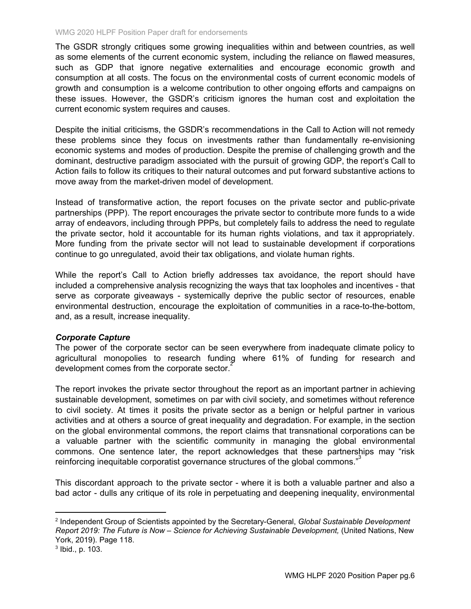The GSDR strongly critiques some growing inequalities within and between countries, as well as some elements of the current economic system, including the reliance on flawed measures, such as GDP that ignore negative externalities and encourage economic growth and consumption at all costs. The focus on the environmental costs of current economic models of growth and consumption is a welcome contribution to other ongoing efforts and campaigns on these issues. However, the GSDR's criticism ignores the human cost and exploitation the current economic system requires and causes.

Despite the initial criticisms, the GSDR's recommendations in the Call to Action will not remedy these problems since they focus on investments rather than fundamentally re-envisioning economic systems and modes of production. Despite the premise of challenging growth and the dominant, destructive paradigm associated with the pursuit of growing GDP, the report's Call to Action fails to follow its critiques to their natural outcomes and put forward substantive actions to move away from the market-driven model of development.

Instead of transformative action, the report focuses on the private sector and public-private partnerships (PPP). The report encourages the private sector to contribute more funds to a wide array of endeavors, including through PPPs, but completely fails to address the need to regulate the private sector, hold it accountable for its human rights violations, and tax it appropriately. More funding from the private sector will not lead to sustainable development if corporations continue to go unregulated, avoid their tax obligations, and violate human rights.

While the report's Call to Action briefly addresses tax avoidance, the report should have included a comprehensive analysis recognizing the ways that tax loopholes and incentives - that serve as corporate giveaways - systemically deprive the public sector of resources, enable environmental destruction, encourage the exploitation of communities in a race-to-the-bottom, and, as a result, increase inequality.

### *Corporate Capture*

The power of the corporate sector can be seen everywhere from inadequate climate policy to agricultural monopolies to research funding where 61% of funding for research and development comes from the corporate sector. $\overline{z}$ 

The report invokes the private sector throughout the report as an important partner in achieving sustainable development, sometimes on par with civil society, and sometimes without reference to civil society. At times it posits the private sector as a benign or helpful partner in various activities and at others a source of great inequality and degradation. For example, in the section on the global environmental commons, the report claims that transnational corporations can be a valuable partner with the scientific community in managing the global environmental commons. One sentence later, the report acknowledges that these partnerships may "risk reinforcing inequitable corporatist governance structures of the global commons."<sup>3</sup>

This discordant approach to the private sector - where it is both a valuable partner and also a bad actor - dulls any critique of its role in perpetuating and deepening inequality, environmental

<sup>2</sup> Independent Group of Scientists appointed by the Secretary-General, *Global Sustainable Development Report 2019: The Future is Now* – *Science for Achieving Sustainable Development,* (United Nations, New York, 2019). Page 118.

<sup>3</sup> Ibid., p. 103.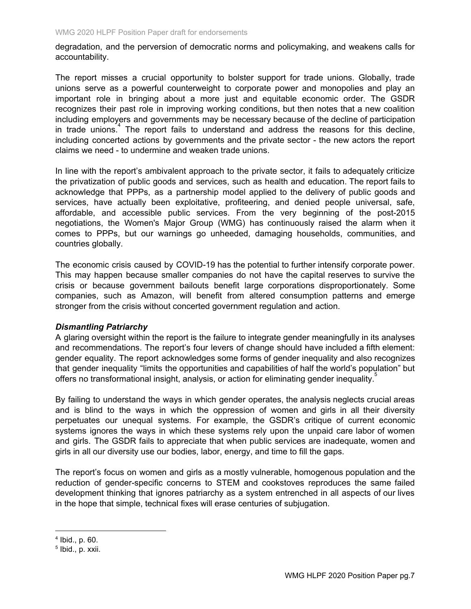degradation, and the perversion of democratic norms and policymaking, and weakens calls for accountability.

The report misses a crucial opportunity to bolster support for trade unions. Globally, trade unions serve as a powerful counterweight to corporate power and monopolies and play an important role in bringing about a more just and equitable economic order. The GSDR recognizes their past role in improving working conditions, but then notes that a new coalition including employers and governments may be necessary because of the decline of participation in trade unions.<sup>4</sup> The report fails to understand and address the reasons for this decline, including concerted actions by governments and the private sector - the new actors the report claims we need - to undermine and weaken trade unions.

In line with the report's ambivalent approach to the private sector, it fails to adequately criticize the privatization of public goods and services, such as health and education. The report fails to acknowledge that PPPs, as a partnership model applied to the delivery of public goods and services, have actually been exploitative, profiteering, and denied people universal, safe, affordable, and accessible public services. From the very beginning of the post-2015 negotiations, the Women's Major Group (WMG) has continuously raised the alarm when it comes to PPPs, but our warnings go unheeded, damaging households, communities, and countries globally.

The economic crisis caused by COVID-19 has the potential to further intensify corporate power. This may happen because smaller companies do not have the capital reserves to survive the crisis or because government bailouts benefit large corporations disproportionately. Some companies, such as Amazon, will benefit from altered consumption patterns and emerge stronger from the crisis without concerted government regulation and action.

### *Dismantling Patriarchy*

A glaring oversight within the report is the failure to integrate gender meaningfully in its analyses and recommendations. The report's four levers of change should have included a fifth element: gender equality. The report acknowledges some forms of gender inequality and also recognizes that gender inequality "limits the opportunities and capabilities of half the world's population" but offers no transformational insight, analysis, or action for eliminating gender inequality. 5

By failing to understand the ways in which gender operates, the analysis neglects crucial areas and is blind to the ways in which the oppression of women and girls in all their diversity perpetuates our unequal systems. For example, the GSDR's critique of current economic systems ignores the ways in which these systems rely upon the unpaid care labor of women and girls. The GSDR fails to appreciate that when public services are inadequate, women and girls in all our diversity use our bodies, labor, energy, and time to fill the gaps.

The report's focus on women and girls as a mostly vulnerable, homogenous population and the reduction of gender-specific concerns to STEM and cookstoves reproduces the same failed development thinking that ignores patriarchy as a system entrenched in all aspects of our lives in the hope that simple, technical fixes will erase centuries of subjugation.

<sup>4</sup> Ibid., p. 60.

<sup>&</sup>lt;sup>5</sup> Ibid., p. xxii.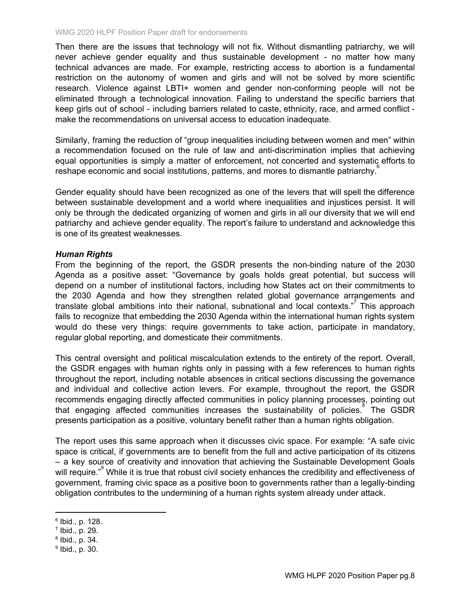Then there are the issues that technology will not fix. Without dismantling patriarchy, we will never achieve gender equality and thus sustainable development - no matter how many technical advances are made. For example, restricting access to abortion is a fundamental restriction on the autonomy of women and girls and will not be solved by more scientific research. Violence against LBTI+ women and gender non-conforming people will not be eliminated through a technological innovation. Failing to understand the specific barriers that keep girls out of school - including barriers related to caste, ethnicity, race, and armed conflict make the recommendations on universal access to education inadequate.

Similarly, framing the reduction of "group inequalities including between women and men" within a recommendation focused on the rule of law and anti-discrimination implies that achieving equal opportunities is simply a matter of enforcement, not concerted and systematic efforts to reshape economic and social institutions, patterns, and mores to dismantle patriarchy.<sup>6</sup>

Gender equality should have been recognized as one of the levers that will spell the difference between sustainable development and a world where inequalities and injustices persist. It will only be through the dedicated organizing of women and girls in all our diversity that we will end patriarchy and achieve gender equality. The report's failure to understand and acknowledge this is one of its greatest weaknesses.

### *Human Rights*

From the beginning of the report, the GSDR presents the non-binding nature of the 2030 Agenda as a positive asset: "Governance by goals holds great potential, but success will depend on a number of institutional factors, including how States act on their commitments to the 2030 Agenda and how they strengthen related global governance arrangements and translate global ambitions into their national, subnational and local contexts."<sup>7</sup> This approach fails to recognize that embedding the 2030 Agenda within the international human rights system would do these very things: require governments to take action, participate in mandatory, regular global reporting, and domesticate their commitments.

This central oversight and political miscalculation extends to the entirety of the report. Overall, the GSDR engages with human rights only in passing with a few references to human rights throughout the report, including notable absences in critical sections discussing the governance and individual and collective action levers. For example, throughout the report, the GSDR recommends engaging directly affected communities in policy planning processes, pointing out that engaging affected communities increases the sustainability of policies.<sup>8</sup> The GSDR presents participation as a positive, voluntary benefit rather than a human rights obligation.

The report uses this same approach when it discusses civic space. For example: "A safe civic space is critical, if governments are to benefit from the full and active participation of its citizens – a key source of creativity and innovation that achieving the Sustainable Development Goals will require."<sup>9</sup> While it is true that robust civil society enhances the credibility and effectiveness of government, framing civic space as a positive boon to governments rather than a legally-binding obligation contributes to the undermining of a human rights system already under attack.

<sup>6</sup> Ibid., p. 128.

<sup>7</sup> Ibid., p. 29.

<sup>8</sup> Ibid., p. 34.

<sup>&</sup>lt;sup>9</sup> Ibid., p. 30.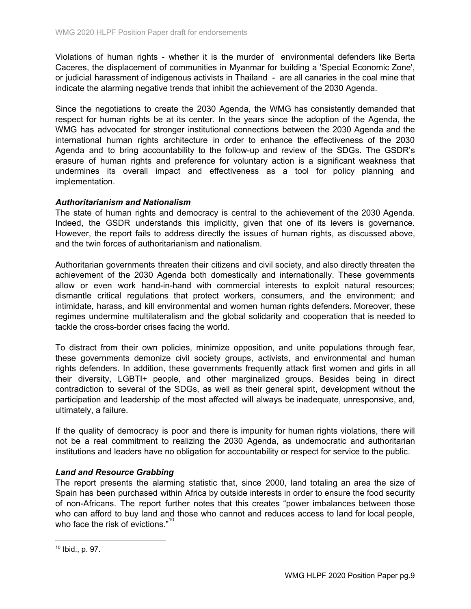Violations of human rights - whether it is the murder of environmental defenders like Berta Caceres, the displacement of communities in Myanmar for building a 'Special Economic Zone', or judicial harassment of indigenous activists in Thailand - are all canaries in the coal mine that indicate the alarming negative trends that inhibit the achievement of the 2030 Agenda.

Since the negotiations to create the 2030 Agenda, the WMG has consistently demanded that respect for human rights be at its center. In the years since the adoption of the Agenda, the WMG has advocated for stronger institutional connections between the 2030 Agenda and the international human rights architecture in order to enhance the effectiveness of the 2030 Agenda and to bring accountability to the follow-up and review of the SDGs. The GSDR's erasure of human rights and preference for voluntary action is a significant weakness that undermines its overall impact and effectiveness as a tool for policy planning and implementation.

### *Authoritarianism and Nationalism*

The state of human rights and democracy is central to the achievement of the 2030 Agenda. Indeed, the GSDR understands this implicitly, given that one of its levers is governance. However, the report fails to address directly the issues of human rights, as discussed above, and the twin forces of authoritarianism and nationalism.

Authoritarian governments threaten their citizens and civil society, and also directly threaten the achievement of the 2030 Agenda both domestically and internationally. These governments allow or even work hand-in-hand with commercial interests to exploit natural resources; dismantle critical regulations that protect workers, consumers, and the environment; and intimidate, harass, and kill environmental and women human rights defenders. Moreover, these regimes undermine multilateralism and the global solidarity and cooperation that is needed to tackle the cross-border crises facing the world.

To distract from their own policies, minimize opposition, and unite populations through fear, these governments demonize civil society groups, activists, and environmental and human rights defenders. In addition, these governments frequently attack first women and girls in all their diversity, LGBTI+ people, and other marginalized groups. Besides being in direct contradiction to several of the SDGs, as well as their general spirit, development without the participation and leadership of the most affected will always be inadequate, unresponsive, and, ultimately, a failure.

If the quality of democracy is poor and there is impunity for human rights violations, there will not be a real commitment to realizing the 2030 Agenda, as undemocratic and authoritarian institutions and leaders have no obligation for accountability or respect for service to the public.

### *Land and Resource Grabbing*

The report presents the alarming statistic that, since 2000, land totaling an area the size of Spain has been purchased within Africa by outside interests in order to ensure the food security of non-Africans. The report further notes that this creates "power imbalances between those who can afford to buy land and those who cannot and reduces access to land for local people, who face the risk of evictions."<sup>10</sup>

<sup>10</sup> Ibid., p. 97.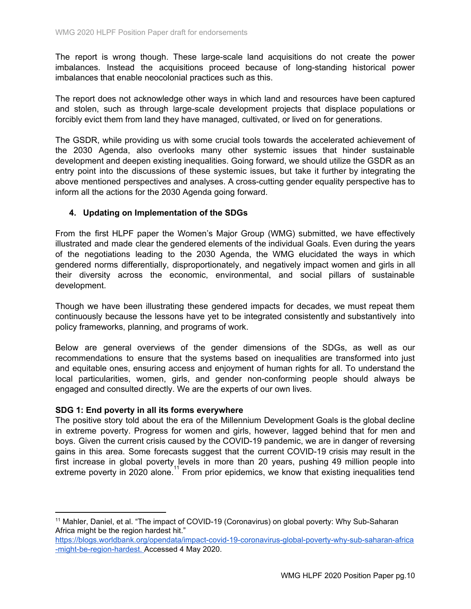The report is wrong though. These large-scale land acquisitions do not create the power imbalances. Instead the acquisitions proceed because of long-standing historical power imbalances that enable neocolonial practices such as this.

The report does not acknowledge other ways in which land and resources have been captured and stolen, such as through large-scale development projects that displace populations or forcibly evict them from land they have managed, cultivated, or lived on for generations.

The GSDR, while providing us with some crucial tools towards the accelerated achievement of the 2030 Agenda, also overlooks many other systemic issues that hinder sustainable development and deepen existing inequalities. Going forward, we should utilize the GSDR as an entry point into the discussions of these systemic issues, but take it further by integrating the above mentioned perspectives and analyses. A cross-cutting gender equality perspective has to inform all the actions for the 2030 Agenda going forward.

### **4. Updating on Implementation of the SDGs**

From the first HLPF paper the Women's Major Group (WMG) submitted, we have effectively illustrated and made clear the gendered elements of the individual Goals. Even during the years of the negotiations leading to the 2030 Agenda, the WMG elucidated the ways in which gendered norms differentially, disproportionately, and negatively impact women and girls in all their diversity across the economic, environmental, and social pillars of sustainable development.

Though we have been illustrating these gendered impacts for decades, we must repeat them continuously because the lessons have yet to be integrated consistently and substantively into policy frameworks, planning, and programs of work.

Below are general overviews of the gender dimensions of the SDGs, as well as our recommendations to ensure that the systems based on inequalities are transformed into just and equitable ones, ensuring access and enjoyment of human rights for all. To understand the local particularities, women, girls, and gender non-conforming people should always be engaged and consulted directly. We are the experts of our own lives.

### **SDG 1: End poverty in all its forms everywhere**

The positive story told about the era of the Millennium Development Goals is the global decline in extreme poverty. Progress for women and girls, however, lagged behind that for men and boys. Given the current crisis caused by the COVID-19 pandemic, we are in danger of reversing gains in this area. Some forecasts suggest that the current COVID-19 crisis may result in the first increase in global poverty levels in more than 20 years, pushing 49 million people into extreme poverty in 2020 alone.<sup>11</sup> From prior epidemics, we know that existing inequalities tend

<sup>&</sup>lt;sup>11</sup> Mahler, Daniel, et al. "The impact of COVID-19 (Coronavirus) on global poverty: Why Sub-Saharan Africa might be the region hardest hit."

[https://blogs.worldbank.org/opendata/impact-covid-19-coronavirus-global-poverty-why-sub-saharan-africa](https://blogs.worldbank.org/opendata/impact-covid-19-coronavirus-global-poverty-why-sub-saharan-africa-might-be-region-hardest) [-might-be-region-hardest](https://blogs.worldbank.org/opendata/impact-covid-19-coronavirus-global-poverty-why-sub-saharan-africa-might-be-region-hardest). Accessed 4 May 2020.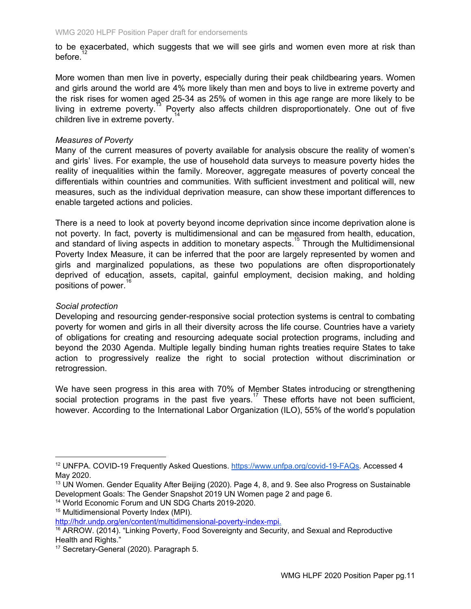to be exacerbated, which suggests that we will see girls and women even more at risk than before.

More women than men live in poverty, especially during their peak childbearing years. Women and girls around the world are 4% more likely than men and boys to live in extreme poverty and the risk rises for women aged 25-34 as 25% of women in this age range are more likely to be living in extreme poverty.<sup>13</sup> Poverty also affects children disproportionately. One out of five children live in extreme poverty. 14

### *Measures of Poverty*

Many of the current measures of poverty available for analysis obscure the reality of women's and girls' lives. For example, the use of household data surveys to measure poverty hides the reality of inequalities within the family. Moreover, aggregate measures of poverty conceal the differentials within countries and communities. With sufficient investment and political will, new measures, such as the individual deprivation measure, can show these important differences to enable targeted actions and policies.

There is a need to look at poverty beyond income deprivation since income deprivation alone is not poverty. In fact, poverty is multidimensional and can be measured from health, education, and standard of living aspects in addition to monetary aspects.<sup>15</sup> Through the Multidimensional Poverty Index Measure, it can be inferred that the poor are largely represented by women and girls and marginalized populations, as these two populations are often disproportionately deprived of education, assets, capital, gainful employment, decision making, and holding positions of power. 16

### *Social protection*

Developing and resourcing gender-responsive social protection systems is central to combating poverty for women and girls in all their diversity across the life course. Countries have a variety of obligations for creating and resourcing adequate social protection programs, including and beyond the 2030 Agenda. Multiple legally binding human rights treaties require States to take action to progressively realize the right to social protection without discrimination or retrogression.

We have seen progress in this area with 70% of Member States introducing or strengthening social protection programs in the past five years.<sup>17</sup> These efforts have not been sufficient, however. According to the International Labor Organization (ILO), 55% of the world's population

<sup>&</sup>lt;sup>12</sup> UNFPA. COVID-19 Frequently Asked Questions. <https://www.unfpa.org/covid-19-FAQs>. Accessed 4 May 2020.

<sup>&</sup>lt;sup>13</sup> UN Women. Gender Equality After Beijing (2020). Page 4, 8, and 9. See also Progress on Sustainable Development Goals: The Gender Snapshot 2019 UN Women page 2 and page 6.

<sup>14</sup> World Economic Forum and UN SDG Charts 2019-2020.

<sup>15</sup> Multidimensional Poverty Index (MPI).

<http://hdr.undp.org/en/content/multidimensional-poverty-index-mpi>.

<sup>&</sup>lt;sup>16</sup> ARROW. (2014). "Linking Poverty, Food Sovereignty and Security, and Sexual and Reproductive Health and Rights."

<sup>&</sup>lt;sup>17</sup> Secretary-General (2020). Paragraph 5.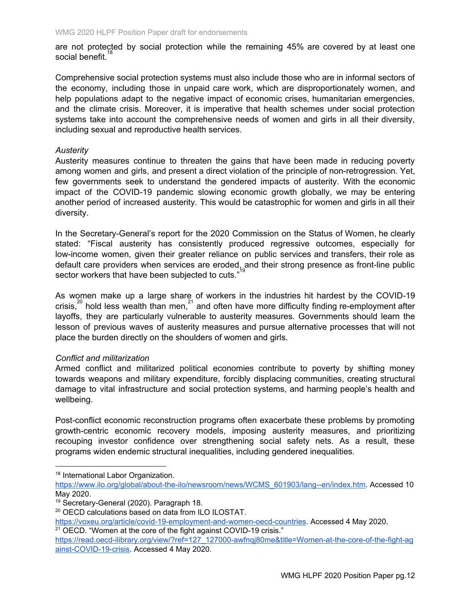are not protected by social protection while the remaining 45% are covered by at least one social benefit.<sup>18</sup>

Comprehensive social protection systems must also include those who are in informal sectors of the economy, including those in unpaid care work, which are disproportionately women, and help populations adapt to the negative impact of economic crises, humanitarian emergencies, and the climate crisis. Moreover, it is imperative that health schemes under social protection systems take into account the comprehensive needs of women and girls in all their diversity, including sexual and reproductive health services.

### *Austerity*

Austerity measures continue to threaten the gains that have been made in reducing poverty among women and girls, and present a direct violation of the principle of non-retrogression. Yet, few governments seek to understand the gendered impacts of austerity. With the economic impact of the COVID-19 pandemic slowing economic growth globally, we may be entering another period of increased austerity. This would be catastrophic for women and girls in all their diversity.

In the Secretary-General's report for the 2020 Commission on the Status of Women, he clearly stated: "Fiscal austerity has consistently produced regressive outcomes, especially for low-income women, given their greater reliance on public services and transfers, their role as default care providers when services are eroded, and their strong presence as front-line public sector workers that have been subjected to cuts."

As women make up a large share of workers in the industries hit hardest by the COVID-19 crisis, $^{20}$  hold less wealth than men, $^{21}$  and often have more difficulty finding re-employment after layoffs, they are particularly vulnerable to austerity measures. Governments should learn the lesson of previous waves of austerity measures and pursue alternative processes that will not place the burden directly on the shoulders of women and girls.

### *Conflict and militarization*

Armed conflict and militarized political economies contribute to poverty by shifting money towards weapons and military expenditure, forcibly displacing communities, creating structural damage to vital infrastructure and social protection systems, and harming people's health and wellbeing.

Post-conflict economic reconstruction programs often exacerbate these problems by promoting growth-centric economic recovery models, imposing austerity measures, and prioritizing recouping investor confidence over strengthening social safety nets. As a result, these programs widen endemic structural inequalities, including gendered inequalities.

<sup>18</sup> International Labor Organization.

[https://www.ilo.org/global/about-the-ilo/newsroom/news/WCMS\\_601903/lang--en/index.htm.](https://www.ilo.org/global/about-the-ilo/newsroom/news/WCMS_601903/lang--en/index.htm) Accessed 10 May 2020.

<sup>&</sup>lt;sup>19</sup> Secretary-General (2020). Paragraph 18.

<sup>20</sup> OECD calculations based on data from ILO ILOSTAT.

<https://voxeu.org/article/covid-19-employment-and-women-oecd-countries>. Accessed 4 May 2020. <sup>21</sup> OECD. "Women at the core of the fight against COVID-19 crisis."

[https://read.oecd-ilibrary.org/view/?ref=127\\_127000-awfnqj80me&title=Women-at-the-core-of-the-fight-ag](https://read.oecd-ilibrary.org/view/?ref=127_127000-awfnqj80me&title=Women-at-the-core-of-the-fight-against-COVID-19-crisis) [ainst-COVID-19-crisis.](https://read.oecd-ilibrary.org/view/?ref=127_127000-awfnqj80me&title=Women-at-the-core-of-the-fight-against-COVID-19-crisis) Accessed 4 May 2020.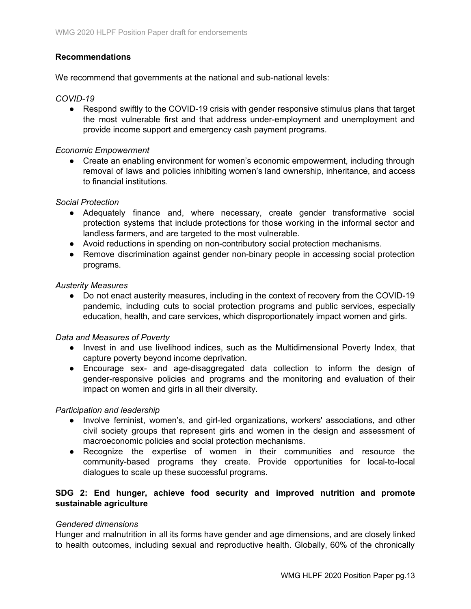# **Recommendations**

We recommend that governments at the national and sub-national levels:

### *COVID-19*

• Respond swiftly to the COVID-19 crisis with gender responsive stimulus plans that target the most vulnerable first and that address under-employment and unemployment and provide income support and emergency cash payment programs.

### *Economic Empowerment*

● Create an enabling environment for women's economic empowerment, including through removal of laws and policies inhibiting women's land ownership, inheritance, and access to financial institutions.

### *Social Protection*

- Adequately finance and, where necessary, create gender transformative social protection systems that include protections for those working in the informal sector and landless farmers, and are targeted to the most vulnerable.
- Avoid reductions in spending on non-contributory social protection mechanisms.
- Remove discrimination against gender non-binary people in accessing social protection programs.

### *Austerity Measures*

● Do not enact austerity measures, including in the context of recovery from the COVID-19 pandemic, including cuts to social protection programs and public services, especially education, health, and care services, which disproportionately impact women and girls.

### *Data and Measures of Poverty*

- Invest in and use livelihood indices, such as the Multidimensional Poverty Index, that capture poverty beyond income deprivation.
- Encourage sex- and age-disaggregated data collection to inform the design of gender-responsive policies and programs and the monitoring and evaluation of their impact on women and girls in all their diversity.

### *Participation and leadership*

- Involve feminist, women's, and girl-led organizations, workers' associations, and other civil society groups that represent girls and women in the design and assessment of macroeconomic policies and social protection mechanisms.
- Recognize the expertise of women in their communities and resource the community-based programs they create. Provide opportunities for local-to-local dialogues to scale up these successful programs.

### **SDG 2: End hunger, achieve food security and improved nutrition and promote sustainable agriculture**

### *Gendered dimensions*

Hunger and malnutrition in all its forms have gender and age dimensions, and are closely linked to health outcomes, including sexual and reproductive health. Globally, 60% of the chronically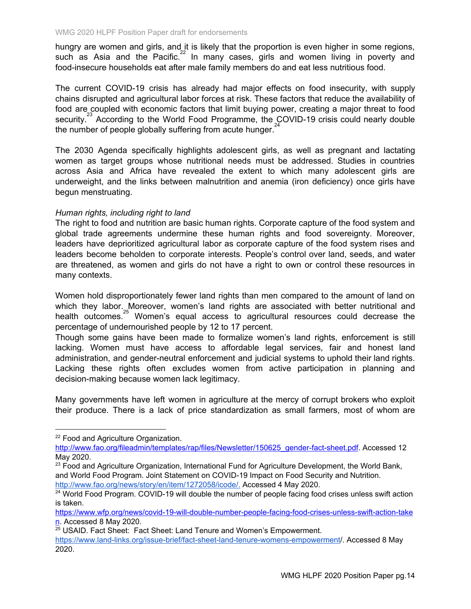hungry are women and girls, and it is likely that the proportion is even higher in some regions, such as Asia and the Pacific.<sup>22</sup> In many cases, girls and women living in poverty and food-insecure households eat after male family members do and eat less nutritious food.

The current COVID-19 crisis has already had major effects on food insecurity, with supply chains disrupted and agricultural labor forces at risk. These factors that reduce the availability of food are coupled with economic factors that limit buying power, creating a major threat to food security.<sup>23</sup> According to the World Food Programme, the COVID-19 crisis could nearly double the number of people globally suffering from acute hunger. $24$ 

The 2030 Agenda specifically highlights adolescent girls, as well as pregnant and lactating women as target groups whose nutritional needs must be addressed. Studies in countries across Asia and Africa have revealed the extent to which many adolescent girls are underweight, and the links between malnutrition and anemia (iron deficiency) once girls have begun menstruating.

### *Human rights, including right to land*

The right to food and nutrition are basic human rights. Corporate capture of the food system and global trade agreements undermine these human rights and food sovereignty. Moreover, leaders have deprioritized agricultural labor as corporate capture of the food system rises and leaders become beholden to corporate interests. People's control over land, seeds, and water are threatened, as women and girls do not have a right to own or control these resources in many contexts.

Women hold disproportionately fewer land rights than men compared to the amount of land on which they labor. Moreover, women's land rights are associated with better nutritional and health outcomes. $25$  Women's equal access to agricultural resources could decrease the percentage of undernourished people by 12 to 17 percent.

Though some gains have been made to formalize women's land rights, enforcement is still lacking. Women must have access to affordable legal services, fair and honest land administration, and gender-neutral enforcement and judicial systems to uphold their land rights. Lacking these rights often excludes women from active participation in planning and decision-making because women lack legitimacy.

Many governments have left women in agriculture at the mercy of corrupt brokers who exploit their produce. There is a lack of price standardization as small farmers, most of whom are

<sup>23</sup> Food and Agriculture Organization, International Fund for Agriculture Development, the World Bank, and World Food Program. Joint Statement on COVID-19 Impact on Food Security and Nutrition. [http://www.fao.org/news/story/en/item/1272058/icode/.](http://www.fao.org/news/story/en/item/1272058/icode/) Accessed 4 May 2020.

<sup>&</sup>lt;sup>22</sup> Food and Agriculture Organization.

[http://www.fao.org/fileadmin/templates/rap/files/Newsletter/150625\\_gender-fact-sheet.pdf.](http://www.fao.org/fileadmin/templates/rap/files/Newsletter/150625_gender-fact-sheet.pdf) Accessed 12 May 2020.

<sup>&</sup>lt;sup>24</sup> World Food Program. COVID-19 will double the number of people facing food crises unless swift action is taken.

[https://www.wfp.org/news/covid-19-will-double-number-people-facing-food-crises-unless-swift-action-take](https://www.wfp.org/news/covid-19-will-double-number-people-facing-food-crises-unless-swift-action-taken) [n](https://www.wfp.org/news/covid-19-will-double-number-people-facing-food-crises-unless-swift-action-taken). Accessed 8 May 2020.

<sup>&</sup>lt;sup>25</sup> USAID. Fact Sheet: Fact Sheet: Land Tenure and Women's Empowerment.

[https://www.land-links.org/issue-brief/fact-sheet-land-tenure-womens-empowerment/.](https://www.land-links.org/issue-brief/fact-sheet-land-tenure-womens-empowerment/) Accessed 8 May 2020.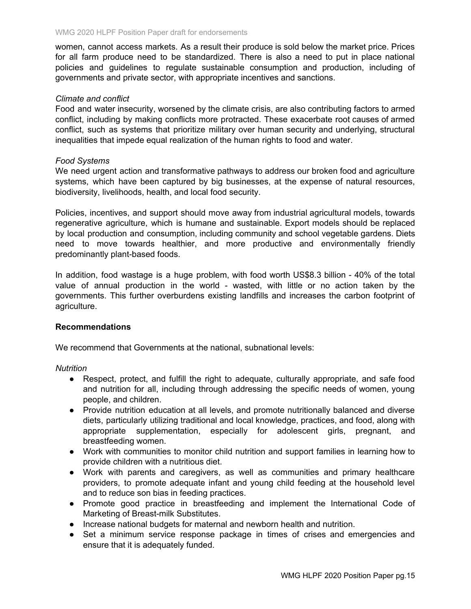women, cannot access markets. As a result their produce is sold below the market price. Prices for all farm produce need to be standardized. There is also a need to put in place national policies and guidelines to regulate sustainable consumption and production, including of governments and private sector, with appropriate incentives and sanctions.

### *Climate and conflict*

Food and water insecurity, worsened by the climate crisis, are also contributing factors to armed conflict, including by making conflicts more protracted. These exacerbate root causes of armed conflict, such as systems that prioritize military over human security and underlying, structural inequalities that impede equal realization of the human rights to food and water.

### *Food Systems*

We need urgent action and transformative pathways to address our broken food and agriculture systems, which have been captured by big businesses, at the expense of natural resources, biodiversity, livelihoods, health, and local food security.

Policies, incentives, and support should move away from industrial agricultural models, towards regenerative agriculture, which is humane and sustainable. Export models should be replaced by local production and consumption, including community and school vegetable gardens. Diets need to move towards healthier, and more productive and environmentally friendly predominantly plant-based foods.

In addition, food wastage is a huge problem, with food worth US\$8.3 billion - 40% of the total value of annual production in the world - wasted, with little or no action taken by the governments. This further overburdens existing landfills and increases the carbon footprint of agriculture.

### **Recommendations**

We recommend that Governments at the national, subnational levels:

*Nutrition*

- Respect, protect, and fulfill the right to adequate, culturally appropriate, and safe food and nutrition for all, including through addressing the specific needs of women, young people, and children.
- Provide nutrition education at all levels, and promote nutritionally balanced and diverse diets, particularly utilizing traditional and local knowledge, practices, and food, along with appropriate supplementation, especially for adolescent girls, pregnant, and breastfeeding women.
- Work with communities to monitor child nutrition and support families in learning how to provide children with a nutritious diet.
- Work with parents and caregivers, as well as communities and primary healthcare providers, to promote adequate infant and young child feeding at the household level and to reduce son bias in feeding practices.
- Promote good practice in breastfeeding and implement the International Code of Marketing of Breast-milk Substitutes.
- Increase national budgets for maternal and newborn health and nutrition.
- Set a minimum service response package in times of crises and emergencies and ensure that it is adequately funded.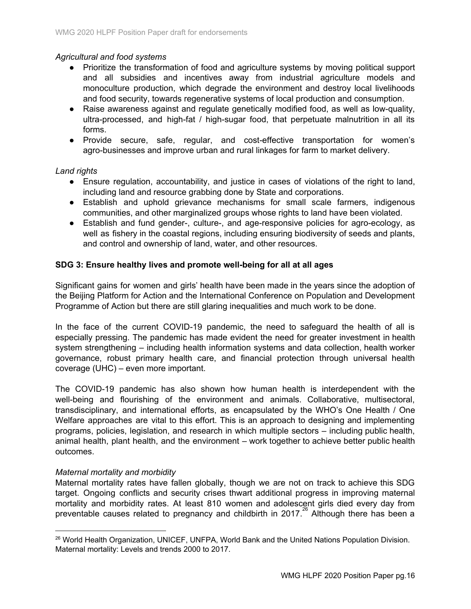# *Agricultural and food systems*

- Prioritize the transformation of food and agriculture systems by moving political support and all subsidies and incentives away from industrial agriculture models and monoculture production, which degrade the environment and destroy local livelihoods and food security, towards regenerative systems of local production and consumption.
- Raise awareness against and regulate genetically modified food, as well as low-quality, ultra-processed, and high-fat / high-sugar food, that perpetuate malnutrition in all its forms.
- Provide secure, safe, regular, and cost-effective transportation for women's agro-businesses and improve urban and rural linkages for farm to market delivery.

### *Land rights*

- Ensure regulation, accountability, and justice in cases of violations of the right to land, including land and resource grabbing done by State and corporations.
- Establish and uphold grievance mechanisms for small scale farmers, indigenous communities, and other marginalized groups whose rights to land have been violated.
- Establish and fund gender-, culture-, and age-responsive policies for agro-ecology, as well as fishery in the coastal regions, including ensuring biodiversity of seeds and plants, and control and ownership of land, water, and other resources.

### **SDG 3: Ensure healthy lives and promote well-being for all at all ages**

Significant gains for women and girls' health have been made in the years since the adoption of the Beijing Platform for Action and the International Conference on Population and Development Programme of Action but there are still glaring inequalities and much work to be done.

In the face of the current COVID-19 pandemic, the need to safeguard the health of all is especially pressing. The pandemic has made evident the need for greater investment in health system strengthening – including health information systems and data collection, health worker governance, robust primary health care, and financial protection through universal health coverage (UHC) – even more important.

The COVID-19 pandemic has also shown how human health is interdependent with the well-being and flourishing of the environment and animals. Collaborative, multisectoral, transdisciplinary, and international efforts, as encapsulated by the WHO's One Health / One Welfare approaches are vital to this effort. This is an approach to designing and implementing programs, policies, legislation, and research in which multiple sectors – including public health, animal health, plant health, and the environment – work together to achieve better public health outcomes.

### *Maternal mortality and morbidity*

Maternal mortality rates have fallen globally, though we are not on track to achieve this SDG target. Ongoing conflicts and security crises thwart additional progress in improving maternal mortality and morbidity rates. At least 810 women and adolescent girls died every day from preventable causes related to pregnancy and childbirth in 2017. $^{26}$  Although there has been a

<sup>&</sup>lt;sup>26</sup> World Health Organization, UNICEF, UNFPA, World Bank and the United Nations Population Division. Maternal mortality: Levels and trends 2000 to 2017.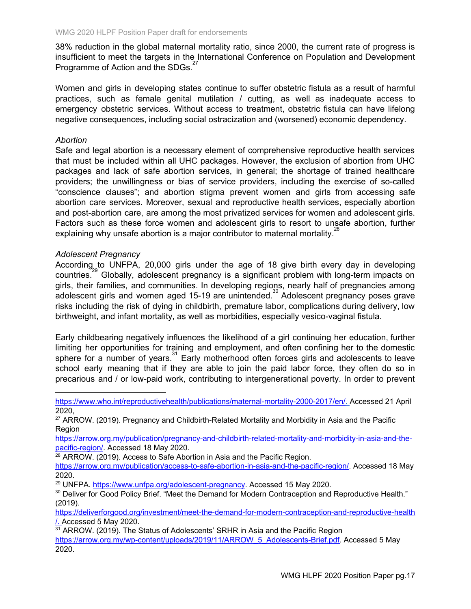38% reduction in the global maternal mortality ratio, since 2000, the current rate of progress is insufficient to meet the targets in the International Conference on Population and Development Programme of Action and the SDGs.<sup>27</sup>

Women and girls in developing states continue to suffer obstetric fistula as a result of harmful practices, such as female genital mutilation / cutting, as well as inadequate access to emergency obstetric services. Without access to treatment, obstetric fistula can have lifelong negative consequences, including social ostracization and (worsened) economic dependency.

### *Abortion*

Safe and legal abortion is a necessary element of comprehensive reproductive health services that must be included within all UHC packages. However, the exclusion of abortion from UHC packages and lack of safe abortion services, in general; the shortage of trained healthcare providers; the unwillingness or bias of service providers, including the exercise of so-called "conscience clauses"; and abortion stigma prevent women and girls from accessing safe abortion care services. Moreover, sexual and reproductive health services, especially abortion and post-abortion care, are among the most privatized services for women and adolescent girls. Factors such as these force women and adolescent girls to resort to unsafe abortion, further explaining why unsafe abortion is a major contributor to maternal mortality.<sup>28</sup>

### *Adolescent Pregnancy*

According to UNFPA, 20,000 girls under the age of 18 give birth every day in developing countries.<sup>29</sup> Globally, adolescent pregnancy is a significant problem with long-term impacts on girls, their families, and communities. In developing regions, nearly half of pregnancies among adolescent girls and women aged 15-19 are unintended.<sup>30</sup> Adolescent pregnancy poses grave risks including the risk of dying in childbirth, premature labor, complications during delivery, low birthweight, and infant mortality, as well as morbidities, especially vesico-vaginal fistula.

Early childbearing negatively influences the likelihood of a girl continuing her education, further limiting her opportunities for training and employment, and often confining her to the domestic sphere for a number of years.  $31$  Early motherhood often forces girls and adolescents to leave school early meaning that if they are able to join the paid labor force, they often do so in precarious and / or low-paid work, contributing to intergenerational poverty. In order to prevent

<https://www.who.int/reproductivehealth/publications/maternal-mortality-2000-2017/en/>. Accessed 21 April 2020,

<sup>27</sup> ARROW. (2019). Pregnancy and Childbirth-Related Mortality and Morbidity in Asia and the Pacific Region

[https://arrow.org.my/publication/pregnancy-and-childbirth-related-mortality-and-morbidity-in-asia-and-the](https://arrow.org.my/publication/pregnancy-and-childbirth-related-mortality-and-morbidity-in-asia-and-the-pacific-region/)[pacific-region/](https://arrow.org.my/publication/pregnancy-and-childbirth-related-mortality-and-morbidity-in-asia-and-the-pacific-region/). Accessed 18 May 2020.

<sup>28</sup> ARROW. (2019). Access to Safe Abortion in Asia and the Pacific Region.

[https://arrow.org.my/publication/access-to-safe-abortion-in-asia-and-the-pacific-region/.](https://arrow.org.my/publication/access-to-safe-abortion-in-asia-and-the-pacific-region/) Accessed 18 May 2020.

<sup>29</sup> UNFPA. [https://www.unfpa.org/adolescent-pregnancy.](https://www.unfpa.org/adolescent-pregnancy) Accessed 15 May 2020.

<sup>30</sup> Deliver for Good Policy Brief. "Meet the Demand for Modern Contraception and Reproductive Health." (2019).

[https://deliverforgood.org/investment/meet-the-demand-for-modern-contraception-and-reproductive-health](https://deliverforgood.org/investment/meet-the-demand-for-modern-contraception-and-reproductive-health/) [/.](https://deliverforgood.org/investment/meet-the-demand-for-modern-contraception-and-reproductive-health/) Accessed 5 May 2020.

<sup>31</sup> ARROW. (2019). The Status of Adolescents' SRHR in Asia and the Pacific Region [https://arrow.org.my/wp-content/uploads/2019/11/ARROW\\_5\\_Adolescents-Brief.pdf.](https://arrow.org.my/wp-content/uploads/2019/11/ARROW_5_Adolescents-Brief.pdf) Accessed 5 May 2020.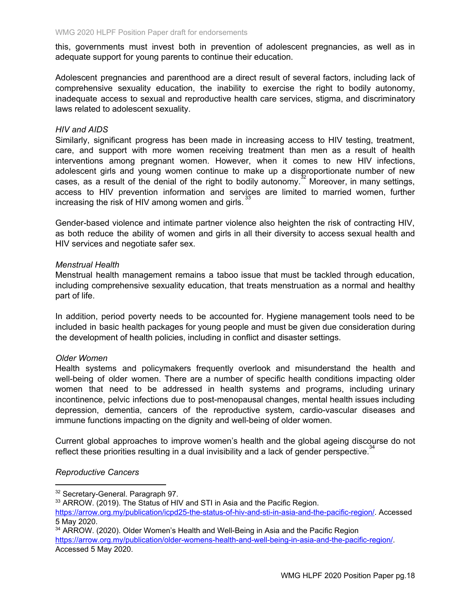this, governments must invest both in prevention of adolescent pregnancies, as well as in adequate support for young parents to continue their education.

Adolescent pregnancies and parenthood are a direct result of several factors, including lack of comprehensive sexuality education, the inability to exercise the right to bodily autonomy, inadequate access to sexual and reproductive health care services, stigma, and discriminatory laws related to adolescent sexuality.

### *HIV and AIDS*

Similarly, significant progress has been made in increasing access to HIV testing, treatment, care, and support with more women receiving treatment than men as a result of health interventions among pregnant women. However, when it comes to new HIV infections, adolescent girls and young women continue to make up a disproportionate number of new cases, as a result of the denial of the right to bodily autonomy.<sup>32</sup> Moreover, in many settings, access to HIV prevention information and services are limited to married women, further increasing the risk of HIV among women and girls. 33

Gender-based violence and intimate partner violence also heighten the risk of contracting HIV, as both reduce the ability of women and girls in all their diversity to access sexual health and HIV services and negotiate safer sex.

#### *Menstrual Health*

Menstrual health management remains a taboo issue that must be tackled through education, including comprehensive sexuality education, that treats menstruation as a normal and healthy part of life.

In addition, period poverty needs to be accounted for. Hygiene management tools need to be included in basic health packages for young people and must be given due consideration during the development of health policies, including in conflict and disaster settings.

### *Older Women*

Health systems and policymakers frequently overlook and misunderstand the health and well-being of older women. There are a number of specific health conditions impacting older women that need to be addressed in health systems and programs, including urinary incontinence, pelvic infections due to post-menopausal changes, mental health issues including depression, dementia, cancers of the reproductive system, cardio-vascular diseases and immune functions impacting on the dignity and well-being of older women.

Current global approaches to improve women's health and the global ageing discourse do not reflect these priorities resulting in a dual invisibility and a lack of gender perspective.  $34$ 

### *Reproductive Cancers*

<sup>34</sup> ARROW. (2020). Older Women's Health and Well-Being in Asia and the Pacific Region [https://arrow.org.my/publication/older-womens-health-and-well-being-in-asia-and-the-pacific-region/.](https://arrow.org.my/publication/older-womens-health-and-well-being-in-asia-and-the-pacific-region/) Accessed 5 May 2020.

<sup>&</sup>lt;sup>32</sup> Secretary-General. Paragraph 97.

<sup>33</sup> ARROW. (2019). The Status of HIV and STI in Asia and the Pacific Region.

<https://arrow.org.my/publication/icpd25-the-status-of-hiv-and-sti-in-asia-and-the-pacific-region/>. Accessed 5 May 2020.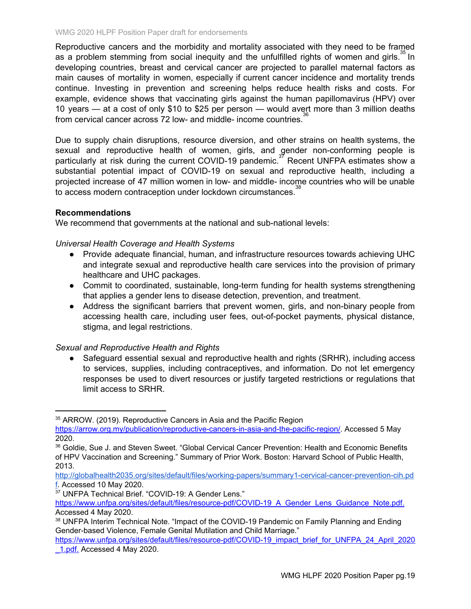Reproductive cancers and the morbidity and mortality associated with they need to be framed as a problem stemming from social inequity and the unfulfilled rights of women and girls.  $35$  In developing countries, breast and cervical cancer are projected to parallel maternal factors as main causes of mortality in women, especially if current cancer incidence and mortality trends continue. Investing in prevention and screening helps reduce health risks and costs. For example, evidence shows that vaccinating girls against the human papillomavirus (HPV) over 10 years — at a cost of only \$10 to \$25 per person — would avert more than 3 million deaths from cervical cancer across 72 low- and middle- income countries.<sup>36</sup>

Due to supply chain disruptions, resource diversion, and other strains on health systems, the sexual and reproductive health of women, girls, and gender non-conforming people is particularly at risk during the current COVID-19 pandemic.<sup>37</sup> Recent UNFPA estimates show a substantial potential impact of COVID-19 on sexual and reproductive health, including a projected increase of 47 million women in low- and middle- income countries who will be unable to access modern contraception under lockdown circumstances.<sup>38</sup>

### **Recommendations**

We recommend that governments at the national and sub-national levels:

### *Universal Health Coverage and Health Systems*

- Provide adequate financial, human, and infrastructure resources towards achieving UHC and integrate sexual and reproductive health care services into the provision of primary healthcare and UHC packages.
- Commit to coordinated, sustainable, long-term funding for health systems strengthening that applies a gender lens to disease detection, prevention, and treatment.
- Address the significant barriers that prevent women, girls, and non-binary people from accessing health care, including user fees, out-of-pocket payments, physical distance, stigma, and legal restrictions.

### *Sexual and Reproductive Health and Rights*

• Safeguard essential sexual and reproductive health and rights (SRHR), including access to services, supplies, including contraceptives, and information. Do not let emergency responses be used to divert resources or justify targeted restrictions or regulations that limit access to SRHR.

<sup>37</sup> UNFPA Technical Brief. "COVID-19: A Gender Lens."

<sup>&</sup>lt;sup>35</sup> ARROW. (2019). Reproductive Cancers in Asia and the Pacific Region

<https://arrow.org.my/publication/reproductive-cancers-in-asia-and-the-pacific-region/>. Accessed 5 May 2020.

<sup>36</sup> Goldie, Sue J. and Steven Sweet. "Global Cervical Cancer Prevention: Health and Economic Benefits of HPV Vaccination and Screening." Summary of Prior Work. Boston: Harvard School of Public Health, 2013.

[http://globalhealth2035.org/sites/default/files/working-papers/summary1-cervical-cancer-prevention-cih.pd](http://globalhealth2035.org/sites/default/files/working-papers/summary1-cervical-cancer-prevention-cih.pdf) [f.](http://globalhealth2035.org/sites/default/files/working-papers/summary1-cervical-cancer-prevention-cih.pdf) Accessed 10 May 2020.

[https://www.unfpa.org/sites/default/files/resource-pdf/COVID-19\\_A\\_Gender\\_Lens\\_Guidance\\_Note.pdf.](https://www.unfpa.org/sites/default/files/resource-pdf/COVID-19_A_Gender_Lens_Guidance_Note.pdf) Accessed 4 May 2020.

<sup>38</sup> UNFPA Interim Technical Note. "Impact of the COVID-19 Pandemic on Family Planning and Ending Gender-based Violence, Female Genital Mutilation and Child Marriage."

[https://www.unfpa.org/sites/default/files/resource-pdf/COVID-19\\_impact\\_brief\\_for\\_UNFPA\\_24\\_April\\_2020](https://www.unfpa.org/sites/default/files/resource-pdf/COVID-19_impact_brief_for_UNFPA_24_April_2020_1.pdf) 1.pdf. Accessed 4 May 2020.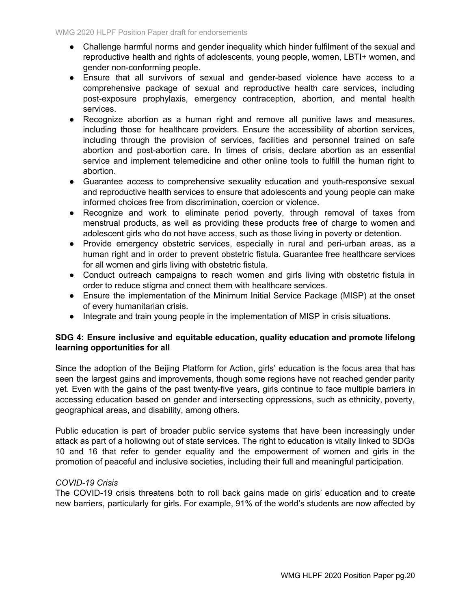- Challenge harmful norms and gender inequality which hinder fulfilment of the sexual and reproductive health and rights of adolescents, young people, women, LBTI+ women, and gender non-conforming people.
- Ensure that all survivors of sexual and gender-based violence have access to a comprehensive package of sexual and reproductive health care services, including post-exposure prophylaxis, emergency contraception, abortion, and mental health services.
- Recognize abortion as a human right and remove all punitive laws and measures, including those for healthcare providers. Ensure the accessibility of abortion services, including through the provision of services, facilities and personnel trained on safe abortion and post-abortion care. In times of crisis, declare abortion as an essential service and implement telemedicine and other online tools to fulfill the human right to abortion.
- Guarantee access to comprehensive sexuality education and youth-responsive sexual and reproductive health services to ensure that adolescents and young people can make informed choices free from discrimination, coercion or violence.
- Recognize and work to eliminate period poverty, through removal of taxes from menstrual products, as well as providing these products free of charge to women and adolescent girls who do not have access, such as those living in poverty or detention.
- Provide emergency obstetric services, especially in rural and peri-urban areas, as a human right and in order to prevent obstetric fistula. Guarantee free healthcare services for all women and girls living with obstetric fistula.
- Conduct outreach campaigns to reach women and girls living with obstetric fistula in order to reduce stigma and cnnect them with healthcare services.
- Ensure the implementation of the Minimum Initial Service Package (MISP) at the onset of every humanitarian crisis.
- Integrate and train young people in the implementation of MISP in crisis situations.

# **SDG 4: Ensure inclusive and equitable education, quality education and promote lifelong learning opportunities for all**

Since the adoption of the Beijing Platform for Action, girls' education is the focus area that has seen the largest gains and improvements, though some regions have not reached gender parity yet. Even with the gains of the past twenty-five years, girls continue to face multiple barriers in accessing education based on gender and intersecting oppressions, such as ethnicity, poverty, geographical areas, and disability, among others.

Public education is part of broader public service systems that have been increasingly under attack as part of a hollowing out of state services. The right to education is vitally linked to SDGs 10 and 16 that refer to gender equality and the empowerment of women and girls in the promotion of peaceful and inclusive societies, including their full and meaningful participation.

# *COVID-19 Crisis*

The COVID-19 crisis threatens both to roll back gains made on girls' education and to create new barriers, particularly for girls. For example, 91% of the world's students are now affected by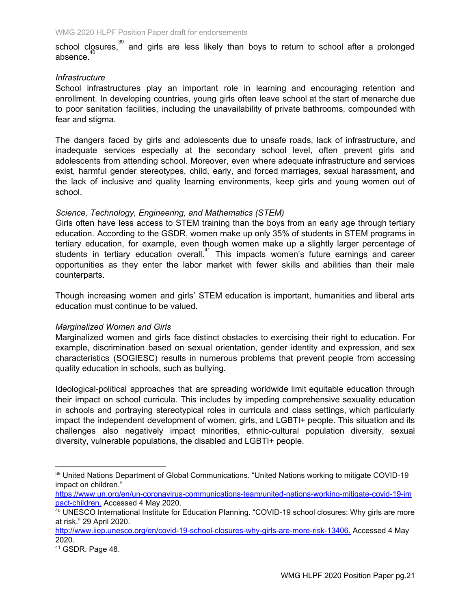school closures,<sup>39</sup> and girls are less likely than boys to return to school after a prolonged absence. 40

### *Infrastructure*

School infrastructures play an important role in learning and encouraging retention and enrollment. In developing countries, young girls often leave school at the start of menarche due to poor sanitation facilities, including the unavailability of private bathrooms, compounded with fear and stigma.

The dangers faced by girls and adolescents due to unsafe roads, lack of infrastructure, and inadequate services especially at the secondary school level, often prevent girls and adolescents from attending school. Moreover, even where adequate infrastructure and services exist, harmful gender stereotypes, child, early, and forced marriages, sexual harassment, and the lack of inclusive and quality learning environments, keep girls and young women out of school.

### *Science, Technology, Engineering, and Mathematics (STEM)*

Girls often have less access to STEM training than the boys from an early age through tertiary education. According to the GSDR, women make up only 35% of students in STEM programs in tertiary education, for example, even though women make up a slightly larger percentage of students in tertiary education overall.<sup>41</sup> This impacts women's future earnings and career opportunities as they enter the labor market with fewer skills and abilities than their male counterparts.

Though increasing women and girls' STEM education is important, humanities and liberal arts education must continue to be valued.

### *Marginalized Women and Girls*

Marginalized women and girls face distinct obstacles to exercising their right to education. For example, discrimination based on sexual orientation, gender identity and expression, and sex characteristics (SOGIESC) results in numerous problems that prevent people from accessing quality education in schools, such as bullying.

Ideological-political approaches that are spreading worldwide limit equitable education through their impact on school curricula. This includes by impeding comprehensive sexuality education in schools and portraying stereotypical roles in curricula and class settings, which particularly impact the independent development of women, girls, and LGBTI+ people. This situation and its challenges also negatively impact minorities, ethnic-cultural population diversity, sexual diversity, vulnerable populations, the disabled and LGBTI+ people.

<sup>39</sup> United Nations Department of Global Communications. "United Nations working to mitigate COVID-19 impact on children."

[https://www.un.org/en/un-coronavirus-communications-team/united-nations-working-mitigate-covid-19-im](https://www.un.org/en/un-coronavirus-communications-team/united-nations-working-mitigate-covid-19-impact-children) [pact-children](https://www.un.org/en/un-coronavirus-communications-team/united-nations-working-mitigate-covid-19-impact-children). Accessed 4 May 2020.

<sup>40</sup> UNESCO International Institute for Education Planning. "COVID-19 school closures: Why girls are more at risk." 29 April 2020.

http://www.iiep.unesco.org/en/covid-19-school-closures-why-girls-are-more-risk-13406. Accessed 4 May 2020.

<sup>41</sup> GSDR. Page 48.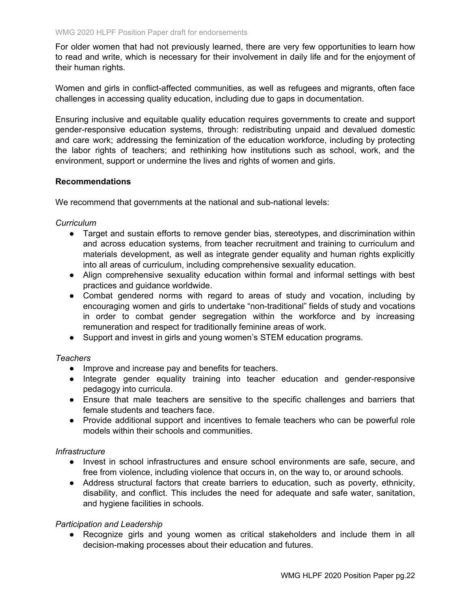For older women that had not previously learned, there are very few opportunities to learn how to read and write, which is necessary for their involvement in daily life and for the enjoyment of their human rights.

Women and girls in conflict-affected communities, as well as refugees and migrants, often face challenges in accessing quality education, including due to gaps in documentation.

Ensuring inclusive and equitable quality education requires governments to create and support gender-responsive education systems, through: redistributing unpaid and devalued domestic and care work; addressing the feminization of the education workforce, including by protecting the labor rights of teachers; and rethinking how institutions such as school, work, and the environment, support or undermine the lives and rights of women and girls.

### **Recommendations**

We recommend that governments at the national and sub-national levels:

### *Curriculum*

- Target and sustain efforts to remove gender bias, stereotypes, and discrimination within and across education systems, from teacher recruitment and training to curriculum and materials development, as well as integrate gender equality and human rights explicitly into all areas of curriculum, including comprehensive sexuality education.
- Align comprehensive sexuality education within formal and informal settings with best practices and guidance worldwide.
- Combat gendered norms with regard to areas of study and vocation, including by encouraging women and girls to undertake "non-traditional" fields of study and vocations in order to combat gender segregation within the workforce and by increasing remuneration and respect for traditionally feminine areas of work.
- Support and invest in girls and young women's STEM education programs.

### *Teachers*

- Improve and increase pay and benefits for teachers.
- Integrate gender equality training into teacher education and gender-responsive pedagogy into curricula.
- Ensure that male teachers are sensitive to the specific challenges and barriers that female students and teachers face.
- Provide additional support and incentives to female teachers who can be powerful role models within their schools and communities.

### *Infrastructure*

- Invest in school infrastructures and ensure school environments are safe, secure, and free from violence, including violence that occurs in, on the way to, or around schools.
- Address structural factors that create barriers to education, such as poverty, ethnicity, disability, and conflict. This includes the need for adequate and safe water, sanitation, and hygiene facilities in schools.

### *Participation and Leadership*

● Recognize girls and young women as critical stakeholders and include them in all decision-making processes about their education and futures.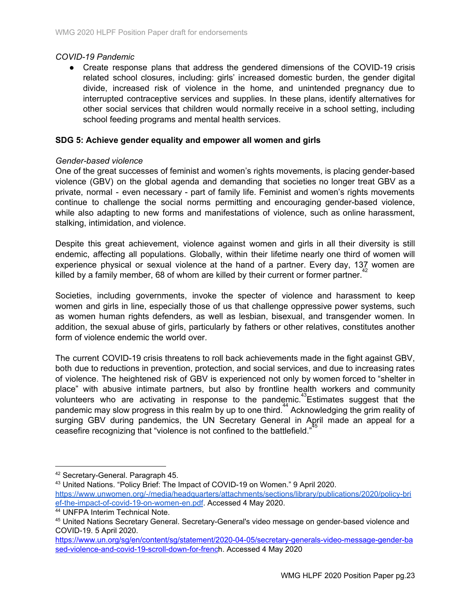### *COVID-19 Pandemic*

● Create response plans that address the gendered dimensions of the COVID-19 crisis related school closures, including: girls' increased domestic burden, the gender digital divide, increased risk of violence in the home, and unintended pregnancy due to interrupted contraceptive services and supplies. In these plans, identify alternatives for other social services that children would normally receive in a school setting, including school feeding programs and mental health services.

### **SDG 5: Achieve gender equality and empower all women and girls**

### *Gender-based violence*

One of the great successes of feminist and women's rights movements, is placing gender-based violence (GBV) on the global agenda and demanding that societies no longer treat GBV as a private, normal - even necessary - part of family life. Feminist and women's rights movements continue to challenge the social norms permitting and encouraging gender-based violence, while also adapting to new forms and manifestations of violence, such as online harassment, stalking, intimidation, and violence.

Despite this great achievement, violence against women and girls in all their diversity is still endemic, affecting all populations. Globally, within their lifetime nearly one third of women will experience physical or sexual violence at the hand of a partner. Every day, 137 women are killed by a family member, 68 of whom are killed by their current or former partner.<sup>42</sup>

Societies, including governments, invoke the specter of violence and harassment to keep women and girls in line, especially those of us that challenge oppressive power systems, such as women human rights defenders, as well as lesbian, bisexual, and transgender women. In addition, the sexual abuse of girls, particularly by fathers or other relatives, constitutes another form of violence endemic the world over.

The current COVID-19 crisis threatens to roll back achievements made in the fight against GBV, both due to reductions in prevention, protection, and social services, and due to increasing rates of violence. The heightened risk of GBV is experienced not only by women forced to "shelter in place" with abusive intimate partners, but also by frontline health workers and community volunteers who are activating in response to the pandemic.<sup>43</sup> Estimates suggest that the pandemic may slow progress in this realm by up to one third.<sup>44</sup> Acknowledging the grim reality of surging GBV during pandemics, the UN Secretary General in April made an appeal for a ceasefire recognizing that "violence is not confined to the battlefield." 45

<sup>43</sup> United Nations. "Policy Brief: The Impact of COVID-19 on Women." 9 April 2020. [https://www.unwomen.org/-/media/headquarters/attachments/sections/library/publications/2020/policy-bri](https://www.unwomen.org/-/media/headquarters/attachments/sections/library/publications/2020/policy-brief-the-impact-of-covid-19-on-women-en.pdf) [ef-the-impact-of-covid-19-on-women-en.pdf](https://www.unwomen.org/-/media/headquarters/attachments/sections/library/publications/2020/policy-brief-the-impact-of-covid-19-on-women-en.pdf). Accessed 4 May 2020.

<sup>42</sup> Secretary-General. Paragraph 45.

<sup>44</sup> UNFPA Interim Technical Note.

<sup>45</sup> United Nations Secretary General. Secretary-General's video message on gender-based violence and COVID-19. 5 April 2020.

[https://www.un.org/sg/en/content/sg/statement/2020-04-05/secretary-generals-video-message-gender-ba](https://www.un.org/sg/en/content/sg/statement/2020-04-05/secretary-generals-video-message-gender-based-violence-and-covid-19-scroll-down-for-french) [sed-violence-and-covid-19-scroll-down-for-french.](https://www.un.org/sg/en/content/sg/statement/2020-04-05/secretary-generals-video-message-gender-based-violence-and-covid-19-scroll-down-for-french) Accessed 4 May 2020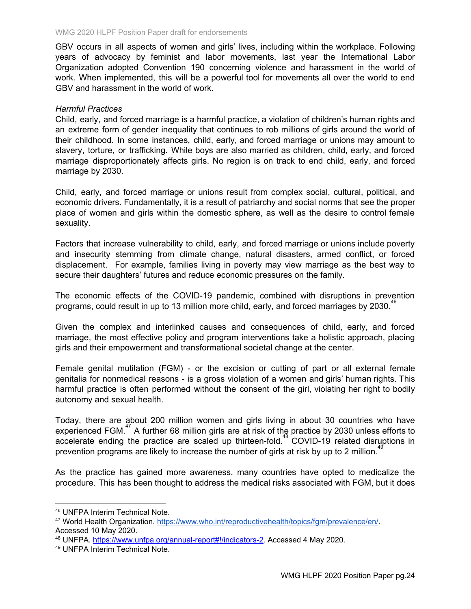GBV occurs in all aspects of women and girls' lives, including within the workplace. Following years of advocacy by feminist and labor movements, last year the International Labor Organization adopted Convention 190 concerning violence and harassment in the world of work. When implemented, this will be a powerful tool for movements all over the world to end GBV and harassment in the world of work.

### *Harmful Practices*

Child, early, and forced marriage is a harmful practice, a violation of children's human rights and an extreme form of gender inequality that continues to rob millions of girls around the world of their childhood. In some instances, child, early, and forced marriage or unions may amount to slavery, torture, or trafficking. While boys are also married as children, child, early, and forced marriage disproportionately affects girls. No region is on track to end child, early, and forced marriage by 2030.

Child, early, and forced marriage or unions result from complex social, cultural, political, and economic drivers. Fundamentally, it is a result of patriarchy and social norms that see the proper place of women and girls within the domestic sphere, as well as the desire to control female sexuality.

Factors that increase vulnerability to child, early, and forced marriage or unions include poverty and insecurity stemming from climate change, natural disasters, armed conflict, or forced displacement. For example, families living in poverty may view marriage as the best way to secure their daughters' futures and reduce economic pressures on the family.

The economic effects of the COVID-19 pandemic, combined with disruptions in prevention programs, could result in up to 13 million more child, early, and forced marriages by 2030.<sup>46</sup>

Given the complex and interlinked causes and consequences of child, early, and forced marriage, the most effective policy and program interventions take a holistic approach, placing girls and their empowerment and transformational societal change at the center.

Female genital mutilation (FGM) - or the excision or cutting of part or all external female genitalia for nonmedical reasons - is a gross violation of a women and girls' human rights. This harmful practice is often performed without the consent of the girl, violating her right to bodily autonomy and sexual health.

Today, there are about 200 million women and girls living in about 30 countries who have experienced FGM. $47$  A further 68 million girls are at risk of the practice by 2030 unless efforts to accelerate ending the practice are scaled up thirteen-fold.<sup>48</sup> COVID-19 related disruptions in prevention programs are likely to increase the number of girls at risk by up to 2 million.<sup>49</sup>

As the practice has gained more awareness, many countries have opted to medicalize the procedure. This has been thought to address the medical risks associated with FGM, but it does

<sup>46</sup> UNFPA Interim Technical Note.

<sup>47</sup> World Health Organization. <https://www.who.int/reproductivehealth/topics/fgm/prevalence/en/>. Accessed 10 May 2020.

<sup>48</sup> UNFPA. [https://www.unfpa.org/annual-report#!/indicators-2.](https://www.unfpa.org/annual-report#!/indicators-2) Accessed 4 May 2020.

<sup>49</sup> UNFPA Interim Technical Note.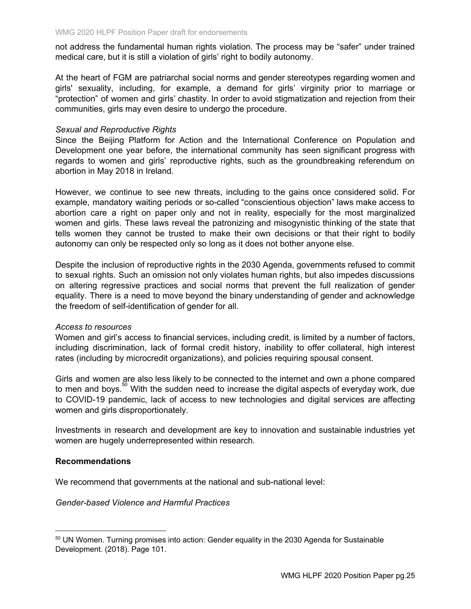not address the fundamental human rights violation. The process may be "safer" under trained medical care, but it is still a violation of girls' right to bodily autonomy.

At the heart of FGM are patriarchal social norms and gender stereotypes regarding women and girls' sexuality, including, for example, a demand for girls' virginity prior to marriage or "protection" of women and girls' chastity. In order to avoid stigmatization and rejection from their communities, girls may even desire to undergo the procedure.

### *Sexual and Reproductive Rights*

Since the Beijing Platform for Action and the International Conference on Population and Development one year before, the international community has seen significant progress with regards to women and girls' reproductive rights, such as the groundbreaking referendum on abortion in May 2018 in Ireland.

However, we continue to see new threats, including to the gains once considered solid. For example, mandatory waiting periods or so-called "conscientious objection" laws make access to abortion care a right on paper only and not in reality, especially for the most marginalized women and girls. These laws reveal the patronizing and misogynistic thinking of the state that tells women they cannot be trusted to make their own decisions or that their right to bodily autonomy can only be respected only so long as it does not bother anyone else.

Despite the inclusion of reproductive rights in the 2030 Agenda, governments refused to commit to sexual rights. Such an omission not only violates human rights, but also impedes discussions on altering regressive practices and social norms that prevent the full realization of gender equality. There is a need to move beyond the binary understanding of gender and acknowledge the freedom of self-identification of gender for all.

### *Access to resources*

Women and girl's access to financial services, including credit, is limited by a number of factors, including discrimination, lack of formal credit history, inability to offer collateral, high interest rates (including by microcredit organizations), and policies requiring spousal consent.

Girls and women are also less likely to be connected to the internet and own a phone compared to men and boys.<sup>50</sup> With the sudden need to increase the digital aspects of everyday work, due to COVID-19 pandemic, lack of access to new technologies and digital services are affecting women and girls disproportionately.

Investments in research and development are key to innovation and sustainable industries yet women are hugely underrepresented within research.

### **Recommendations**

We recommend that governments at the national and sub-national level:

*Gender-based Violence and Harmful Practices*

<sup>&</sup>lt;sup>50</sup> UN Women. Turning promises into action: Gender equality in the 2030 Agenda for Sustainable Development. (2018). Page 101.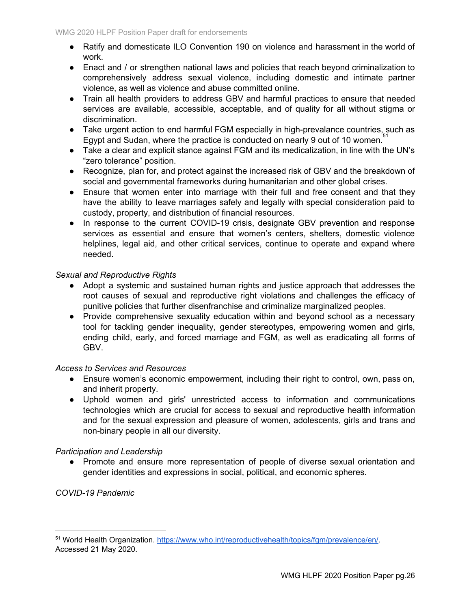- Ratify and domesticate ILO Convention 190 on violence and harassment in the world of work.
- Enact and / or strengthen national laws and policies that reach beyond criminalization to comprehensively address sexual violence, including domestic and intimate partner violence, as well as violence and abuse committed online.
- Train all health providers to address GBV and harmful practices to ensure that needed services are available, accessible, acceptable, and of quality for all without stigma or discrimination.
- Take urgent action to end harmful FGM especially in high-prevalance countries, such as Egypt and Sudan, where the practice is conducted on nearly 9 out of 10 women.
- Take a clear and explicit stance against FGM and its medicalization, in line with the UN's "zero tolerance" position.
- Recognize, plan for, and protect against the increased risk of GBV and the breakdown of social and governmental frameworks during humanitarian and other global crises.
- Ensure that women enter into marriage with their full and free consent and that they have the ability to leave marriages safely and legally with special consideration paid to custody, property, and distribution of financial resources.
- In response to the current COVID-19 crisis, designate GBV prevention and response services as essential and ensure that women's centers, shelters, domestic violence helplines, legal aid, and other critical services, continue to operate and expand where needed.

# *Sexual and Reproductive Rights*

- Adopt a systemic and sustained human rights and justice approach that addresses the root causes of sexual and reproductive right violations and challenges the efficacy of punitive policies that further disenfranchise and criminalize marginalized peoples.
- Provide comprehensive sexuality education within and beyond school as a necessary tool for tackling gender inequality, gender stereotypes, empowering women and girls, ending child, early, and forced marriage and FGM, as well as eradicating all forms of GBV.

### *Access to Services and Resources*

- Ensure women's economic empowerment, including their right to control, own, pass on, and inherit property.
- Uphold women and girls' unrestricted access to information and communications technologies which are crucial for access to sexual and reproductive health information and for the sexual expression and pleasure of women, adolescents, girls and trans and non-binary people in all our diversity.

### *Participation and Leadership*

● Promote and ensure more representation of people of diverse sexual orientation and gender identities and expressions in social, political, and economic spheres.

*COVID-19 Pandemic*

<sup>51</sup> World Health Organization. <https://www.who.int/reproductivehealth/topics/fgm/prevalence/en/>. Accessed 21 May 2020.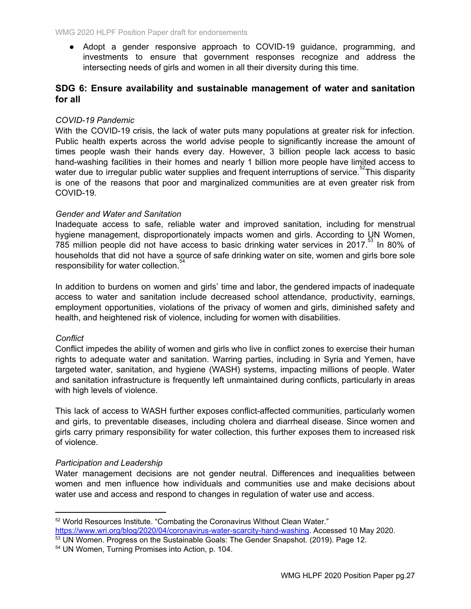● Adopt a gender responsive approach to COVID-19 guidance, programming, and investments to ensure that government responses recognize and address the intersecting needs of girls and women in all their diversity during this time.

# **SDG 6: Ensure availability and sustainable management of water and sanitation for all**

### *COVID-19 Pandemic*

With the COVID-19 crisis, the lack of water puts many populations at greater risk for infection. Public health experts across the world advise people to significantly increase the amount of times people wash their hands every day. However, 3 billion people lack access to basic hand-washing facilities in their homes and nearly 1 billion more people have limited access to water due to irregular public water supplies and frequent interruptions of service.<sup>52</sup>This disparity is one of the reasons that poor and marginalized communities are at even greater risk from COVID-19.

### *Gender and Water and Sanitation*

Inadequate access to safe, reliable water and improved sanitation, including for menstrual hygiene management, disproportionately impacts women and girls. According to UN Women,  $785$  million people did not have access to basic drinking water services in 2017.<sup>53</sup> In 80% of households that did not have a source of safe drinking water on site, women and girls bore sole responsibility for water collection.<sup>54</sup>

In addition to burdens on women and girls' time and labor, the gendered impacts of inadequate access to water and sanitation include decreased school attendance, productivity, earnings, employment opportunities, violations of the privacy of women and girls, diminished safety and health, and heightened risk of violence, including for women with disabilities.

### *Conflict*

Conflict impedes the ability of women and girls who live in conflict zones to exercise their human rights to adequate water and sanitation. Warring parties, including in Syria and Yemen, have targeted water, sanitation, and hygiene (WASH) systems, impacting millions of people. Water and sanitation infrastructure is frequently left unmaintained during conflicts, particularly in areas with high levels of violence.

This lack of access to WASH further exposes conflict-affected communities, particularly women and girls, to preventable diseases, including cholera and diarrheal disease. Since women and girls carry primary responsibility for water collection, this further exposes them to increased risk of violence.

### *Participation and Leadership*

Water management decisions are not gender neutral. Differences and inequalities between women and men influence how individuals and communities use and make decisions about water use and access and respond to changes in regulation of water use and access.

<sup>52</sup> World Resources Institute. "Combating the Coronavirus Without Clean Water." <https://www.wri.org/blog/2020/04/coronavirus-water-scarcity-hand-washing>. Accessed 10 May 2020.

<sup>53</sup> UN Women. Progress on the Sustainable Goals: The Gender Snapshot. (2019). Page 12.

<sup>54</sup> UN Women, Turning Promises into Action, p. 104.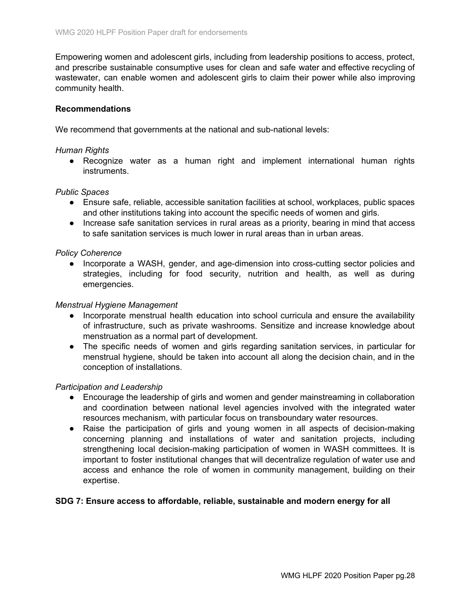Empowering women and adolescent girls, including from leadership positions to access, protect, and prescribe sustainable consumptive uses for clean and safe water and effective recycling of wastewater, can enable women and adolescent girls to claim their power while also improving community health.

#### **Recommendations**

We recommend that governments at the national and sub-national levels:

#### *Human Rights*

• Recognize water as a human right and implement international human rights instruments.

### *Public Spaces*

- Ensure safe, reliable, accessible sanitation facilities at school, workplaces, public spaces and other institutions taking into account the specific needs of women and girls.
- Increase safe sanitation services in rural areas as a priority, bearing in mind that access to safe sanitation services is much lower in rural areas than in urban areas.

#### *Policy Coherence*

● Incorporate a WASH, gender, and age-dimension into cross-cutting sector policies and strategies, including for food security, nutrition and health, as well as during emergencies.

#### *Menstrual Hygiene Management*

- Incorporate menstrual health education into school curricula and ensure the availability of infrastructure, such as private washrooms. Sensitize and increase knowledge about menstruation as a normal part of development.
- The specific needs of women and girls regarding sanitation services, in particular for menstrual hygiene, should be taken into account all along the decision chain, and in the conception of installations.

### *Participation and Leadership*

- Encourage the leadership of girls and women and gender mainstreaming in collaboration and coordination between national level agencies involved with the integrated water resources mechanism, with particular focus on transboundary water resources.
- Raise the participation of girls and young women in all aspects of decision-making concerning planning and installations of water and sanitation projects, including strengthening local decision-making participation of women in WASH committees. It is important to foster institutional changes that will decentralize regulation of water use and access and enhance the role of women in community management, building on their expertise.

### **SDG 7: Ensure access to affordable, reliable, sustainable and modern energy for all**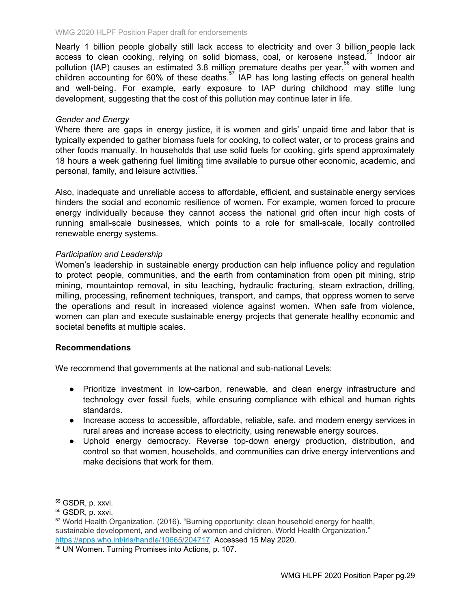Nearly 1 billion people globally still lack access to electricity and over 3 billion people lack access to clean cooking, relying on solid biomass, coal, or kerosene instead.<sup>55</sup> Indoor air pollution (IAP) causes an estimated 3.8 million premature deaths per year,<sup>56</sup> with women and children accounting for 60% of these deaths.<sup>57</sup> IAP has long lasting effects on general health and well-being. For example, early exposure to IAP during childhood may stifle lung development, suggesting that the cost of this pollution may continue later in life.

### *Gender and Energy*

Where there are gaps in energy justice, it is women and girls' unpaid time and labor that is typically expended to gather biomass fuels for cooking, to collect water, or to process grains and other foods manually. In households that use solid fuels for cooking, girls spend approximately 18 hours a week gathering fuel limiting time available to pursue other economic, academic, and personal, family, and leisure activities. 58

Also, inadequate and unreliable access to affordable, efficient, and sustainable energy services hinders the social and economic resilience of women. For example, women forced to procure energy individually because they cannot access the national grid often incur high costs of running small-scale businesses, which points to a role for small-scale, locally controlled renewable energy systems.

### *Participation and Leadership*

Women's leadership in sustainable energy production can help influence policy and regulation to protect people, communities, and the earth from contamination from open pit mining, strip mining, mountaintop removal, in situ leaching, hydraulic fracturing, steam extraction, drilling, milling, processing, refinement techniques, transport, and camps, that oppress women to serve the operations and result in increased violence against women. When safe from violence, women can plan and execute sustainable energy projects that generate healthy economic and societal benefits at multiple scales.

### **Recommendations**

We recommend that governments at the national and sub-national Levels:

- Prioritize investment in low-carbon, renewable, and clean energy infrastructure and technology over fossil fuels, while ensuring compliance with ethical and human rights standards.
- Increase access to accessible, affordable, reliable, safe, and modern energy services in rural areas and increase access to electricity, using renewable energy sources.
- Uphold energy democracy. Reverse top-down energy production, distribution, and control so that women, households, and communities can drive energy interventions and make decisions that work for them.

<sup>55</sup> GSDR, p. xxvi.

<sup>56</sup> GSDR, p. xxvi.

<sup>&</sup>lt;sup>57</sup> World Health Organization. (2016). "Burning opportunity: clean household energy for health. sustainable development, and wellbeing of women and children. World Health Organization." <https://apps.who.int/iris/handle/10665/204717>. Accessed 15 May 2020.

<sup>58</sup> UN Women. Turning Promises into Actions, p. 107.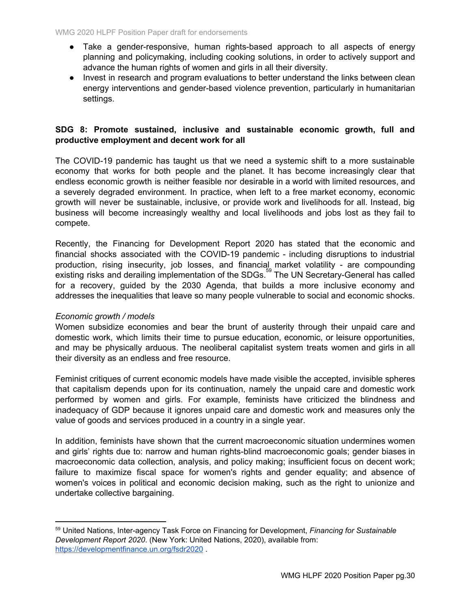- Take a gender-responsive, human rights-based approach to all aspects of energy planning and policymaking, including cooking solutions, in order to actively support and advance the human rights of women and girls in all their diversity.
- Invest in research and program evaluations to better understand the links between clean energy interventions and gender-based violence prevention, particularly in humanitarian settings.

# **SDG 8: Promote sustained, inclusive and sustainable economic growth, full and productive employment and decent work for all**

The COVID-19 pandemic has taught us that we need a systemic shift to a more sustainable economy that works for both people and the planet. It has become increasingly clear that endless economic growth is neither feasible nor desirable in a world with limited resources, and a severely degraded environment. In practice, when left to a free market economy, economic growth will never be sustainable, inclusive, or provide work and livelihoods for all. Instead, big business will become increasingly wealthy and local livelihoods and jobs lost as they fail to compete.

Recently, the Financing for Development Report 2020 has stated that the economic and financial shocks associated with the COVID-19 pandemic - including disruptions to industrial production, rising insecurity, job losses, and financial market volatility - are compounding existing risks and derailing implementation of the SDGs.<sup>59</sup> The UN Secretary-General has called for a recovery, guided by the 2030 Agenda, that builds a more inclusive economy and addresses the inequalities that leave so many people vulnerable to social and economic shocks.

### *Economic growth / models*

Women subsidize economies and bear the brunt of austerity through their unpaid care and domestic work, which limits their time to pursue education, economic, or leisure opportunities, and may be physically arduous. The neoliberal capitalist system treats women and girls in all their diversity as an endless and free resource.

Feminist critiques of current economic models have made visible the accepted, invisible spheres that capitalism depends upon for its continuation, namely the unpaid care and domestic work performed by women and girls. For example, feminists have criticized the blindness and inadequacy of GDP because it ignores unpaid care and domestic work and measures only the value of goods and services produced in a country in a single year.

In addition, feminists have shown that the current macroeconomic situation undermines women and girls' rights due to: narrow and human rights-blind macroeconomic goals; gender biases in macroeconomic data collection, analysis, and policy making; insufficient focus on decent work; failure to maximize fiscal space for women's rights and gender equality; and absence of women's voices in political and economic decision making, such as the right to unionize and undertake collective bargaining.

<sup>59</sup> United Nations, Inter-agency Task Force on Financing for Development, *Financing for Sustainable Development Report 2020*. (New York: United Nations, 2020), available from: <https://developmentfinance.un.org/fsdr2020> .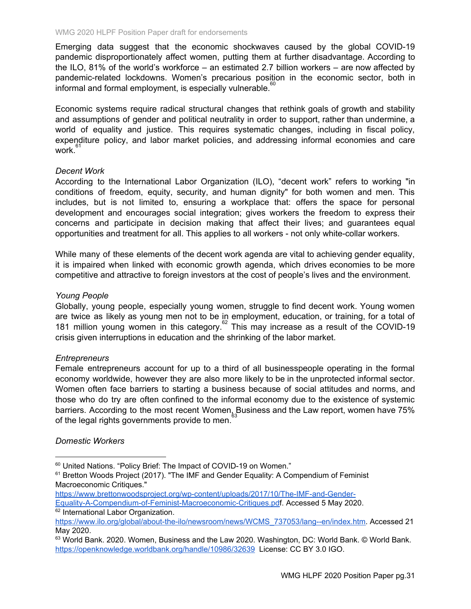Emerging data suggest that the economic shockwaves caused by the global COVID-19 pandemic disproportionately affect women, putting them at further disadvantage. According to the ILO, 81% of the world's workforce – an estimated 2.7 billion workers – are now affected by pandemic-related lockdowns. Women's precarious position in the economic sector, both in informal and formal employment, is especially vulnerable. 60

Economic systems require radical structural changes that rethink goals of growth and stability and assumptions of gender and political neutrality in order to support, rather than undermine, a world of equality and justice. This requires systematic changes, including in fiscal policy, expenditure policy, and labor market policies, and addressing informal economies and care work. 61

### *Decent Work*

According to the International Labor Organization (ILO), "decent work" refers to working "in conditions of freedom, equity, security, and human dignity" for both women and men. This includes, but is not limited to, ensuring a workplace that: offers the space for personal development and encourages social integration; gives workers the freedom to express their concerns and participate in decision making that affect their lives; and guarantees equal opportunities and treatment for all. This applies to all workers - not only white-collar workers.

While many of these elements of the decent work agenda are vital to achieving gender equality, it is impaired when linked with economic growth agenda, which drives economies to be more competitive and attractive to foreign investors at the cost of people's lives and the environment.

### *Young People*

Globally, young people, especially young women, struggle to find decent work. Young women are twice as likely as young men not to be in employment, education, or training, for a total of 181 million young women in this category.<sup>62</sup> This may increase as a result of the COVID-19 crisis given interruptions in education and the shrinking of the labor market.

### *Entrepreneurs*

Female entrepreneurs account for up to a third of all businesspeople operating in the formal economy worldwide, however they are also more likely to be in the unprotected informal sector. Women often face barriers to starting a business because of social attitudes and norms, and those who do try are often confined to the informal economy due to the existence of systemic barriers. According to the most recent Women Business and the Law report, women have 75% of the legal rights governments provide to men.

### *Domestic Workers*

<sup>&</sup>lt;sup>60</sup> United Nations. "Policy Brief: The Impact of COVID-19 on Women."

<sup>&</sup>lt;sup>61</sup> Bretton Woods Project (2017). "The IMF and Gender Equality: A Compendium of Feminist Macroeconomic Critiques."

https://www.brettonwoodsproject.org/wp-content/uploads/2017/10/The-IMF-and-Gender-Equality-A-Compendium-of-Feminist-Macroeconomic-Critiques.pdf. Accessed 5 May 2020. <sup>62</sup> International Labor Organization.

[https://www.ilo.org/global/about-the-ilo/newsroom/news/WCMS\\_737053/lang--en/index.htm.](https://www.ilo.org/global/about-the-ilo/newsroom/news/WCMS_737053/lang--en/index.htm) Accessed 21 May 2020.

 $63$  World Bank. 2020. Women, Business and the Law 2020. Washington, DC: World Bank. © World Bank. <https://openknowledge.worldbank.org/handle/10986/32639> License: CC BY 3.0 IGO.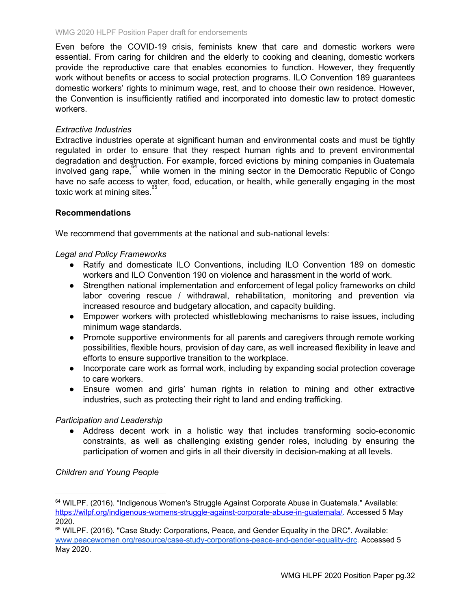Even before the COVID-19 crisis, feminists knew that care and domestic workers were essential. From caring for children and the elderly to cooking and cleaning, domestic workers provide the reproductive care that enables economies to function. However, they frequently work without benefits or access to social protection programs. ILO Convention 189 guarantees domestic workers' rights to minimum wage, rest, and to choose their own residence. However, the Convention is insufficiently ratified and incorporated into domestic law to protect domestic workers.

### *Extractive Industries*

Extractive industries operate at significant human and environmental costs and must be tightly regulated in order to ensure that they respect human rights and to prevent environmental degradation and destruction. For example, forced evictions by mining companies in Guatemala involved gang rape,  $64$  while women in the mining sector in the Democratic Republic of Congo have no safe access to water, food, education, or health, while generally engaging in the most toxic work at mining sites. 65

### **Recommendations**

We recommend that governments at the national and sub-national levels:

### *Legal and Policy Frameworks*

- Ratify and domesticate ILO Conventions, including ILO Convention 189 on domestic workers and ILO Convention 190 on violence and harassment in the world of work.
- Strengthen national implementation and enforcement of legal policy frameworks on child labor covering rescue / withdrawal, rehabilitation, monitoring and prevention via increased resource and budgetary allocation, and capacity building.
- Empower workers with protected whistleblowing mechanisms to raise issues, including minimum wage standards.
- Promote supportive environments for all parents and caregivers through remote working possibilities, flexible hours, provision of day care, as well increased flexibility in leave and efforts to ensure supportive transition to the workplace.
- Incorporate care work as formal work, including by expanding social protection coverage to care workers.
- Ensure women and girls' human rights in relation to mining and other extractive industries, such as protecting their right to land and ending trafficking.

### *Participation and Leadership*

● Address decent work in a holistic way that includes transforming socio-economic constraints, as well as challenging existing gender roles, including by ensuring the participation of women and girls in all their diversity in decision-making at all levels.

*Children and Young People*

<sup>64</sup> WILPF. (2016). "Indigenous Women's Struggle Against Corporate Abuse in Guatemala." Available: [https://wilpf.org/indigenous-womens-struggle-against-corporate-abuse-in-guatemala/.](https://wilpf.org/indigenous-womens-struggle-against-corporate-abuse-in-guatemala/) Accessed 5 May 2020.

<sup>65</sup> WILPF. (2016). "Case Study: Corporations, Peace, and Gender Equality in the DRC". Available: [www.peacewomen.org/resource/case-study-corporations-peace-and-gender-equality-drc](http://www.peacewomen.org/resource/case-study-corporations-peace-and-gender-equality-drc). Accessed 5 May 2020.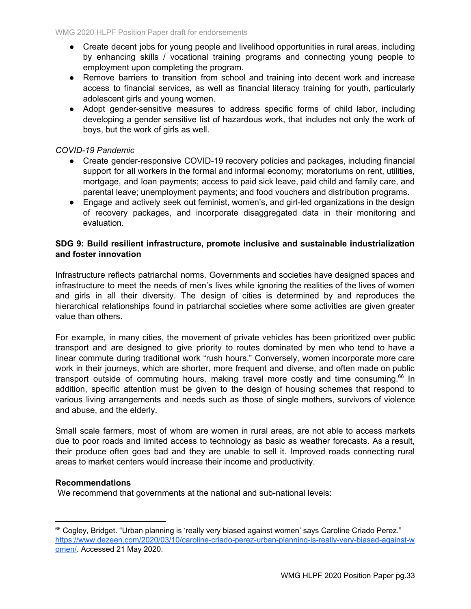- Create decent jobs for young people and livelihood opportunities in rural areas, including by enhancing skills / vocational training programs and connecting young people to employment upon completing the program.
- Remove barriers to transition from school and training into decent work and increase access to financial services, as well as financial literacy training for youth, particularly adolescent girls and young women.
- Adopt gender-sensitive measures to address specific forms of child labor, including developing a gender sensitive list of hazardous work, that includes not only the work of boys, but the work of girls as well.

# *COVID-19 Pandemic*

- Create gender-responsive COVID-19 recovery policies and packages, including financial support for all workers in the formal and informal economy; moratoriums on rent, utilities, mortgage, and loan payments; access to paid sick leave, paid child and family care, and parental leave; unemployment payments; and food vouchers and distribution programs.
- Engage and actively seek out feminist, women's, and girl-led organizations in the design of recovery packages, and incorporate disaggregated data in their monitoring and evaluation.

# **SDG 9: Build resilient infrastructure, promote inclusive and sustainable industrialization and foster innovation**

Infrastructure reflects patriarchal norms. Governments and societies have designed spaces and infrastructure to meet the needs of men's lives while ignoring the realities of the lives of women and girls in all their diversity. The design of cities is determined by and reproduces the hierarchical relationships found in patriarchal societies where some activities are given greater value than others.

For example, in many cities, the movement of private vehicles has been prioritized over public transport and are designed to give priority to routes dominated by men who tend to have a linear commute during traditional work "rush hours." Conversely, women incorporate more care work in their journeys, which are shorter, more frequent and diverse, and often made on public transport outside of commuting hours, making travel more costly and time consuming. $^{66}$  In addition, specific attention must be given to the design of housing schemes that respond to various living arrangements and needs such as those of single mothers, survivors of violence and abuse, and the elderly.

Small scale farmers, most of whom are women in rural areas, are not able to access markets due to poor roads and limited access to technology as basic as weather forecasts. As a result, their produce often goes bad and they are unable to sell it. Improved roads connecting rural areas to market centers would increase their income and productivity.

### **Recommendations**

We recommend that governments at the national and sub-national levels:

<sup>&</sup>lt;sup>66</sup> Cogley, Bridget. "Urban [planning](https://www.dezeen.com/2020/03/10/caroline-criado-perez-urban-planning-is-really-very-biased-against-women/) is 'really very biased against women' says Caroline Criado Perez." [https://www.dezeen.com/2020/03/10/caroline-criado-perez-urban-planning-is-really-very-biased-against-w](https://www.dezeen.com/2020/03/10/caroline-criado-perez-urban-planning-is-really-very-biased-against-women/) [omen/.](https://www.dezeen.com/2020/03/10/caroline-criado-perez-urban-planning-is-really-very-biased-against-women/) Accessed 21 May 2020.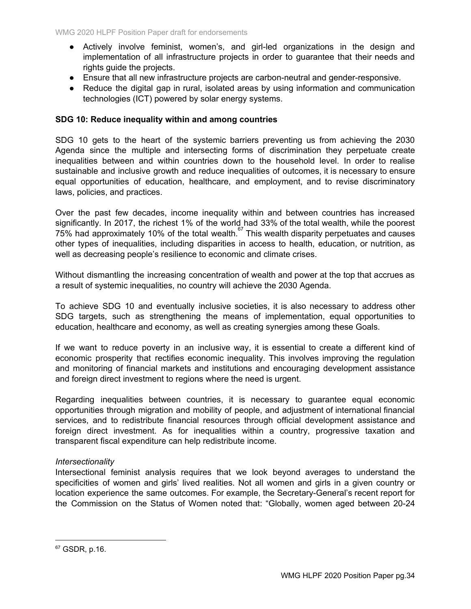- Actively involve feminist, women's, and girl-led organizations in the design and implementation of all infrastructure projects in order to guarantee that their needs and rights guide the projects.
- Ensure that all new infrastructure projects are carbon-neutral and gender-responsive.
- Reduce the digital gap in rural, isolated areas by using information and communication technologies (ICT) powered by solar energy systems.

### **SDG 10: Reduce inequality within and among countries**

SDG 10 gets to the heart of the systemic barriers preventing us from achieving the 2030 Agenda since the multiple and intersecting forms of discrimination they perpetuate create inequalities between and within countries down to the household level. In order to realise sustainable and inclusive growth and reduce inequalities of outcomes, it is necessary to ensure equal opportunities of education, healthcare, and employment, and to revise discriminatory laws, policies, and practices.

Over the past few decades, income inequality within and between countries has increased significantly. In 2017, the richest 1% of the world had 33% of the total wealth, while the poorest  $75%$  had approximately 10% of the total wealth.<sup>67</sup> This wealth disparity perpetuates and causes other types of inequalities, including disparities in access to health, education, or nutrition, as well as decreasing people's resilience to economic and climate crises.

Without dismantling the increasing concentration of wealth and power at the top that accrues as a result of systemic inequalities, no country will achieve the 2030 Agenda.

To achieve SDG 10 and eventually inclusive societies, it is also necessary to address other SDG targets, such as strengthening the means of implementation, equal opportunities to education, healthcare and economy, as well as creating synergies among these Goals.

If we want to reduce poverty in an inclusive way, it is essential to create a different kind of economic prosperity that rectifies economic inequality. This involves improving the regulation and monitoring of financial markets and institutions and encouraging development assistance and foreign direct investment to regions where the need is urgent.

Regarding inequalities between countries, it is necessary to guarantee equal economic opportunities through migration and mobility of people, and adjustment of international financial services, and to redistribute financial resources through official development assistance and foreign direct investment. As for inequalities within a country, progressive taxation and transparent fiscal expenditure can help redistribute income.

### *Intersectionality*

Intersectional feminist analysis requires that we look beyond averages to understand the specificities of women and girls' lived realities. Not all women and girls in a given country or location experience the same outcomes. For example, the Secretary-General's recent report for the Commission on the Status of Women noted that: "Globally, women aged between 20-24

<sup>67</sup> GSDR, p.16.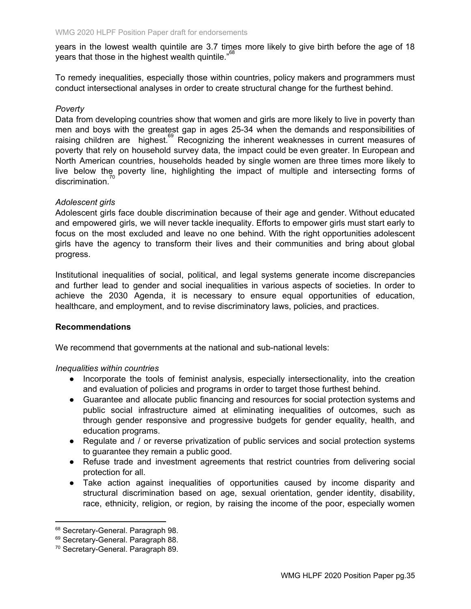years in the lowest wealth quintile are 3.7 times more likely to give birth before the age of 18 years that those in the highest wealth quintile." $^{68}$ 

To remedy inequalities, especially those within countries, policy makers and programmers must conduct intersectional analyses in order to create structural change for the furthest behind.

### *Poverty*

Data from developing countries show that women and girls are more likely to live in poverty than men and boys with the greatest gap in ages 25-34 when the demands and responsibilities of raising children are highest.<sup>69</sup> Recognizing the inherent weaknesses in current measures of poverty that rely on household survey data, the impact could be even greater. In European and North American countries, households headed by single women are three times more likely to live below the poverty line, highlighting the impact of multiple and intersecting forms of discrimination.<sup>70</sup>

### *Adolescent girls*

Adolescent girls face double discrimination because of their age and gender. Without educated and empowered girls, we will never tackle inequality. Efforts to empower girls must start early to focus on the most excluded and leave no one behind. With the right opportunities adolescent girls have the agency to transform their lives and their communities and bring about global progress.

Institutional inequalities of social, political, and legal systems generate income discrepancies and further lead to gender and social inequalities in various aspects of societies. In order to achieve the 2030 Agenda, it is necessary to ensure equal opportunities of education, healthcare, and employment, and to revise discriminatory laws, policies, and practices.

### **Recommendations**

We recommend that governments at the national and sub-national levels:

### *Inequalities within countries*

- Incorporate the tools of feminist analysis, especially intersectionality, into the creation and evaluation of policies and programs in order to target those furthest behind.
- Guarantee and allocate public financing and resources for social protection systems and public social infrastructure aimed at eliminating inequalities of outcomes, such as through gender responsive and progressive budgets for gender equality, health, and education programs.
- Regulate and / or reverse privatization of public services and social protection systems to guarantee they remain a public good.
- Refuse trade and investment agreements that restrict countries from delivering social protection for all.
- Take action against inequalities of opportunities caused by income disparity and structural discrimination based on age, sexual orientation, gender identity, disability, race, ethnicity, religion, or region, by raising the income of the poor, especially women

<sup>68</sup> Secretary-General. Paragraph 98.

<sup>&</sup>lt;sup>69</sup> Secretary-General. Paragraph 88.

<sup>70</sup> Secretary-General. Paragraph 89.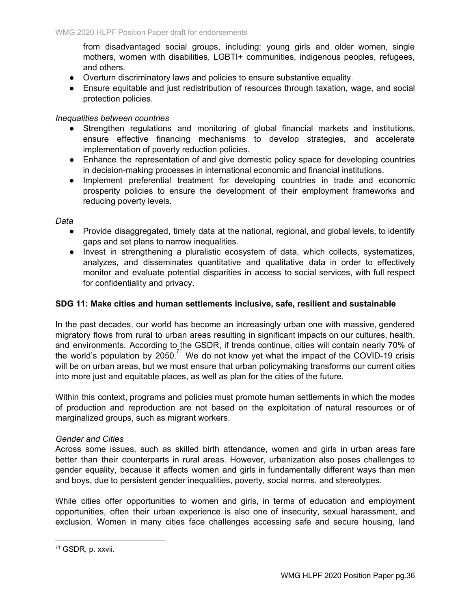from disadvantaged social groups, including: young girls and older women, single mothers, women with disabilities, LGBTI+ communities, indigenous peoples, refugees, and others.

- Overturn discriminatory laws and policies to ensure substantive equality.
- Ensure equitable and just redistribution of resources through taxation, wage, and social protection policies.

### *Inequalities between countries*

- Strengthen regulations and monitoring of global financial markets and institutions, ensure effective financing mechanisms to develop strategies, and accelerate implementation of poverty reduction policies.
- Enhance the representation of and give domestic policy space for developing countries in decision-making processes in international economic and financial institutions.
- Implement preferential treatment for developing countries in trade and economic prosperity policies to ensure the development of their employment frameworks and reducing poverty levels.

*Data*

- Provide disaggregated, timely data at the national, regional, and global levels, to identify gaps and set plans to narrow inequalities.
- Invest in strengthening a pluralistic ecosystem of data, which collects, systematizes, analyzes, and disseminates quantitative and qualitative data in order to effectively monitor and evaluate potential disparities in access to social services, with full respect for confidentiality and privacy.

### **SDG 11: Make cities and human settlements inclusive, safe, resilient and sustainable**

In the past decades, our world has become an increasingly urban one with massive, gendered migratory flows from rural to urban areas resulting in significant impacts on our cultures, health, and environments. According to the GSDR, if trends continue, cities will contain nearly 70% of the world's population by 2050.<sup>71</sup> We do not know yet what the impact of the COVID-19 crisis will be on urban areas, but we must ensure that urban policymaking transforms our current cities into more just and equitable places, as well as plan for the cities of the future.

Within this context, programs and policies must promote human settlements in which the modes of production and reproduction are not based on the exploitation of natural resources or of marginalized groups, such as migrant workers.

### *Gender and Cities*

Across some issues, such as skilled birth attendance, women and girls in urban areas fare better than their counterparts in rural areas. However, urbanization also poses challenges to gender equality, because it affects women and girls in fundamentally different ways than men and boys, due to persistent gender inequalities, poverty, social norms, and stereotypes.

While cities offer opportunities to women and girls, in terms of education and employment opportunities, often their urban experience is also one of insecurity, sexual harassment, and exclusion. Women in many cities face challenges accessing safe and secure housing, land

<sup>71</sup> GSDR, p. xxvii.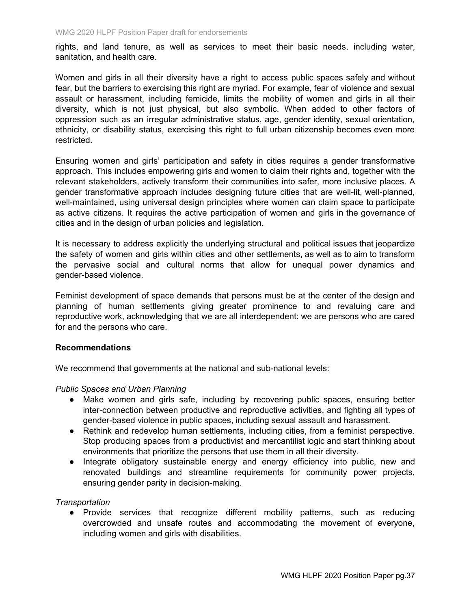rights, and land tenure, as well as services to meet their basic needs, including water, sanitation, and health care.

Women and girls in all their diversity have a right to access public spaces safely and without fear, but the barriers to exercising this right are myriad. For example, fear of violence and sexual assault or harassment, including femicide, limits the mobility of women and girls in all their diversity, which is not just physical, but also symbolic. When added to other factors of oppression such as an irregular administrative status, age, gender identity, sexual orientation, ethnicity, or disability status, exercising this right to full urban citizenship becomes even more restricted.

Ensuring women and girls' participation and safety in cities requires a gender transformative approach. This includes empowering girls and women to claim their rights and, together with the relevant stakeholders, actively transform their communities into safer, more inclusive places. A gender transformative approach includes designing future cities that are well-lit, well-planned, well-maintained, using universal design principles where women can claim space to participate as active citizens. It requires the active participation of women and girls in the governance of cities and in the design of urban policies and legislation.

It is necessary to address explicitly the underlying structural and political issues that jeopardize the safety of women and girls within cities and other settlements, as well as to aim to transform the pervasive social and cultural norms that allow for unequal power dynamics and gender-based violence.

Feminist development of space demands that persons must be at the center of the design and planning of human settlements giving greater prominence to and revaluing care and reproductive work, acknowledging that we are all interdependent: we are persons who are cared for and the persons who care.

### **Recommendations**

We recommend that governments at the national and sub-national levels:

### *Public Spaces and Urban Planning*

- Make women and girls safe, including by recovering public spaces, ensuring better inter-connection between productive and reproductive activities, and fighting all types of gender-based violence in public spaces, including sexual assault and harassment.
- Rethink and redevelop human settlements, including cities, from a feminist perspective. Stop producing spaces from a productivist and mercantilist logic and start thinking about environments that prioritize the persons that use them in all their diversity.
- Integrate obligatory sustainable energy and energy efficiency into public, new and renovated buildings and streamline requirements for community power projects, ensuring gender parity in decision-making.

### *Transportation*

● Provide services that recognize different mobility patterns, such as reducing overcrowded and unsafe routes and accommodating the movement of everyone, including women and girls with disabilities.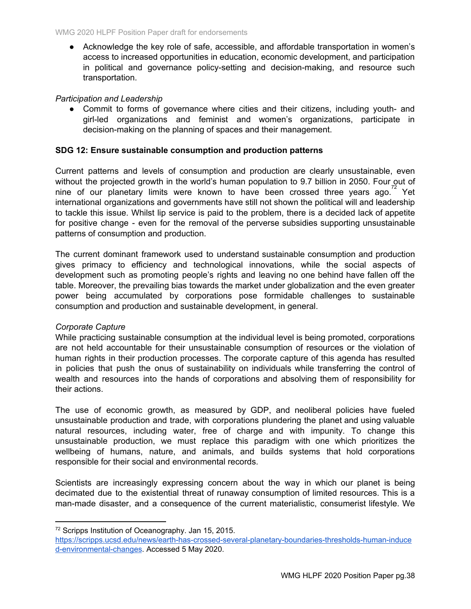● Acknowledge the key role of safe, accessible, and affordable transportation in women's access to increased opportunities in education, economic development, and participation in political and governance policy-setting and decision-making, and resource such transportation.

# *Participation and Leadership*

• Commit to forms of governance where cities and their citizens, including youth- and girl-led organizations and feminist and women's organizations, participate in decision-making on the planning of spaces and their management.

# **SDG 12: Ensure sustainable consumption and production patterns**

Current patterns and levels of consumption and production are clearly unsustainable, even without the projected growth in the world's human population to 9.7 billion in 2050. Four out of nine of our planetary limits were known to have been crossed three years ago.<sup>72</sup> Yet international organizations and governments have still not shown the political will and leadership to tackle this issue. Whilst lip service is paid to the problem, there is a decided lack of appetite for positive change - even for the removal of the perverse subsidies supporting unsustainable patterns of consumption and production.

The current dominant framework used to understand sustainable consumption and production gives primacy to efficiency and technological innovations, while the social aspects of development such as promoting people's rights and leaving no one behind have fallen off the table. Moreover, the prevailing bias towards the market under globalization and the even greater power being accumulated by corporations pose formidable challenges to sustainable consumption and production and sustainable development, in general.

### *Corporate Capture*

While practicing sustainable consumption at the individual level is being promoted, corporations are not held accountable for their unsustainable consumption of resources or the violation of human rights in their production processes. The corporate capture of this agenda has resulted in policies that push the onus of sustainability on individuals while transferring the control of wealth and resources into the hands of corporations and absolving them of responsibility for their actions.

The use of economic growth, as measured by GDP, and neoliberal policies have fueled unsustainable production and trade, with corporations plundering the planet and using valuable natural resources, including water, free of charge and with impunity. To change this unsustainable production, we must replace this paradigm with one which prioritizes the wellbeing of humans, nature, and animals, and builds systems that hold corporations responsible for their social and environmental records.

Scientists are increasingly expressing concern about the way in which our planet is being decimated due to the existential threat of runaway consumption of limited resources. This is a man-made disaster, and a consequence of the current materialistic, consumerist lifestyle. We

<sup>72</sup> Scripps Institution of Oceanography. Jan 15, 2015.

[https://scripps.ucsd.edu/news/earth-has-crossed-several-planetary-boundaries-thresholds-human-induce](https://scripps.ucsd.edu/news/earth-has-crossed-several-planetary-boundaries-thresholds-human-induced-environmental-changes) [d-environmental-changes](https://scripps.ucsd.edu/news/earth-has-crossed-several-planetary-boundaries-thresholds-human-induced-environmental-changes). Accessed 5 May 2020.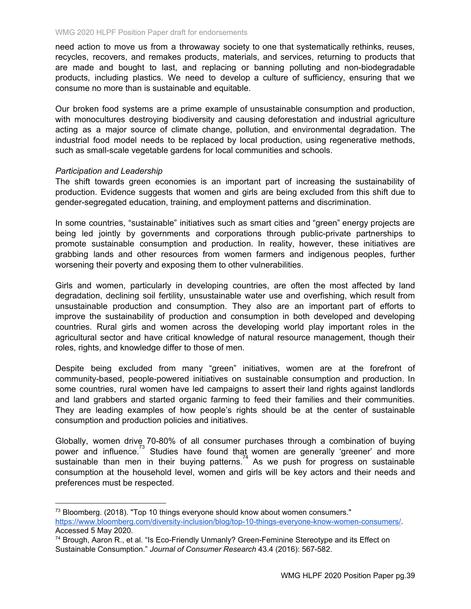need action to move us from a throwaway society to one that systematically rethinks, reuses, recycles, recovers, and remakes products, materials, and services, returning to products that are made and bought to last, and replacing or banning polluting and non-biodegradable products, including plastics. We need to develop a culture of sufficiency, ensuring that we consume no more than is sustainable and equitable.

Our broken food systems are a prime example of unsustainable consumption and production, with monocultures destroying biodiversity and causing deforestation and industrial agriculture acting as a major source of climate change, pollution, and environmental degradation. The industrial food model needs to be replaced by local production, using regenerative methods, such as small-scale vegetable gardens for local communities and schools.

### *Participation and Leadership*

The shift towards green economies is an important part of increasing the sustainability of production. Evidence suggests that women and girls are being excluded from this shift due to gender-segregated education, training, and employment patterns and discrimination.

In some countries, "sustainable" initiatives such as smart cities and "green" energy projects are being led jointly by governments and corporations through public-private partnerships to promote sustainable consumption and production. In reality, however, these initiatives are grabbing lands and other resources from women farmers and indigenous peoples, further worsening their poverty and exposing them to other vulnerabilities.

Girls and women, particularly in developing countries, are often the most affected by land degradation, declining soil fertility, unsustainable water use and overfishing, which result from unsustainable production and consumption. They also are an important part of efforts to improve the sustainability of production and consumption in both developed and developing countries. Rural girls and women across the developing world play important roles in the agricultural sector and have critical knowledge of natural resource management, though their roles, rights, and knowledge differ to those of men.

Despite being excluded from many "green" initiatives, women are at the forefront of community-based, people-powered initiatives on sustainable consumption and production. In some countries, rural women have led campaigns to assert their land rights against landlords and land grabbers and started organic farming to feed their families and their communities. They are leading examples of how people's rights should be at the center of sustainable consumption and production policies and initiatives.

Globally, women drive 70-80% of all consumer purchases through a combination of buying power and influence.<sup>73</sup> Studies have found that women are generally 'greener' and more sustainable than men in their buying patterns.<sup>74</sup> As we push for progress on sustainable consumption at the household level, women and girls will be key actors and their needs and preferences must be respected.

 $73$  Bloomberg. (2018). "Top 10 things everyone should know about women consumers." <https://www.bloomberg.com/diversity-inclusion/blog/top-10-things-everyone-know-women-consumers/>. Accessed 5 May 2020.

<sup>&</sup>lt;sup>74</sup> Brough, Aaron R., et al. "Is Eco-Friendly Unmanly? Green-Feminine Stereotype and its Effect on Sustainable Consumption." *Journal of Consumer Research* 43.4 (2016): 567-582.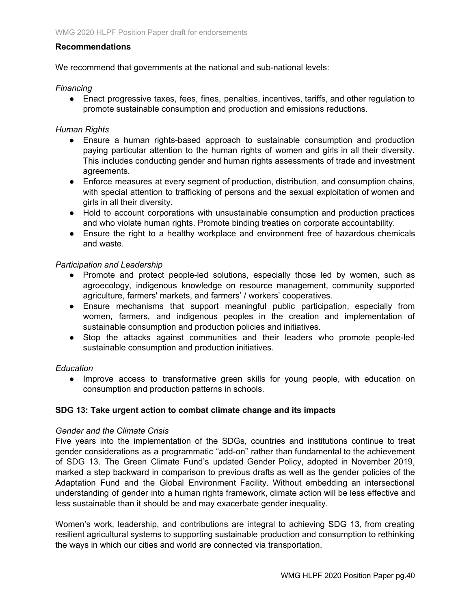### **Recommendations**

We recommend that governments at the national and sub-national levels:

### *Financing*

● Enact progressive taxes, fees, fines, penalties, incentives, tariffs, and other regulation to promote sustainable consumption and production and emissions reductions.

### *Human Rights*

- Ensure a human rights-based approach to sustainable consumption and production paying particular attention to the human rights of women and girls in all their diversity. This includes conducting gender and human rights assessments of trade and investment agreements.
- Enforce measures at every segment of production, distribution, and consumption chains, with special attention to trafficking of persons and the sexual exploitation of women and girls in all their diversity.
- Hold to account corporations with unsustainable consumption and production practices and who violate human rights. Promote binding treaties on corporate accountability.
- Ensure the right to a healthy workplace and environment free of hazardous chemicals and waste.

### *Participation and Leadership*

- Promote and protect people-led solutions, especially those led by women, such as agroecology, indigenous knowledge on resource management, community supported agriculture, farmers' markets, and farmers' / workers' cooperatives.
- Ensure mechanisms that support meaningful public participation, especially from women, farmers, and indigenous peoples in the creation and implementation of sustainable consumption and production policies and initiatives.
- Stop the attacks against communities and their leaders who promote people-led sustainable consumption and production initiatives.

### *Education*

● Improve access to transformative green skills for young people, with education on consumption and production patterns in schools.

### **SDG 13: Take urgent action to combat climate change and its impacts**

### *Gender and the Climate Crisis*

Five years into the implementation of the SDGs, countries and institutions continue to treat gender considerations as a programmatic "add-on" rather than fundamental to the achievement of SDG 13. The Green Climate Fund's updated Gender Policy, adopted in November 2019, marked a step backward in comparison to previous drafts as well as the gender policies of the Adaptation Fund and the Global Environment Facility. Without embedding an intersectional understanding of gender into a human rights framework, climate action will be less effective and less sustainable than it should be and may exacerbate gender inequality.

Women's work, leadership, and contributions are integral to achieving SDG 13, from creating resilient agricultural systems to supporting sustainable production and consumption to rethinking the ways in which our cities and world are connected via transportation.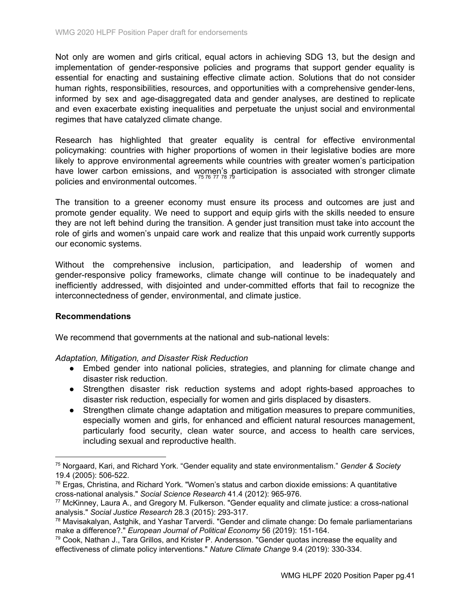Not only are women and girls critical, equal actors in achieving SDG 13, but the design and implementation of gender-responsive policies and programs that support gender equality is essential for enacting and sustaining effective climate action. Solutions that do not consider human rights, responsibilities, resources, and opportunities with a comprehensive gender-lens, informed by sex and age-disaggregated data and gender analyses, are destined to replicate and even exacerbate existing inequalities and perpetuate the unjust social and environmental regimes that have catalyzed climate change.

Research has highlighted that greater equality is central for effective environmental policymaking: countries with higher proportions of women in their legislative bodies are more likely to approve environmental agreements while countries with greater women's participation have lower carbon emissions, and women's participation is associated with stronger climate policies and environmental outcomes.

The transition to a greener economy must ensure its process and outcomes are just and promote gender equality. We need to support and equip girls with the skills needed to ensure they are not left behind during the transition. A gender just transition must take into account the role of girls and women's unpaid care work and realize that this unpaid work currently supports our economic systems.

Without the comprehensive inclusion, participation, and leadership of women and gender-responsive policy frameworks, climate change will continue to be inadequately and inefficiently addressed, with disjointed and under-committed efforts that fail to recognize the interconnectedness of gender, environmental, and climate justice.

### **Recommendations**

We recommend that governments at the national and sub-national levels:

### *Adaptation, Mitigation, and Disaster Risk Reduction*

- Embed gender into national policies, strategies, and planning for climate change and disaster risk reduction.
- Strengthen disaster risk reduction systems and adopt rights-based approaches to disaster risk reduction, especially for women and girls displaced by disasters.
- Strengthen climate change adaptation and mitigation measures to prepare communities, especially women and girls, for enhanced and efficient natural resources management, particularly food security, clean water source, and access to health care services, including sexual and reproductive health.

<sup>75</sup> Norgaard, Kari, and Richard York. "Gender equality and state environmentalism." *Gender & Society* 19.4 (2005): 506-522.

 $76$  Ergas, Christina, and Richard York. "Women's status and carbon dioxide emissions: A quantitative cross-national analysis." *Social Science Research* 41.4 (2012): 965-976.

<sup>77</sup> McKinney, Laura A., and Gregory M. Fulkerson. "Gender equality and climate justice: a cross-national analysis." *Social Justice Research* 28.3 (2015): 293-317.

<sup>78</sup> Mavisakalyan, Astghik, and Yashar Tarverdi. "Gender and climate change: Do female parliamentarians make a difference?." *European Journal of Political Economy* 56 (2019): 151-164.

 $79$  Cook, Nathan J., Tara Grillos, and Krister P. Andersson. "Gender quotas increase the equality and effectiveness of climate policy interventions." *Nature Climate Change* 9.4 (2019): 330-334.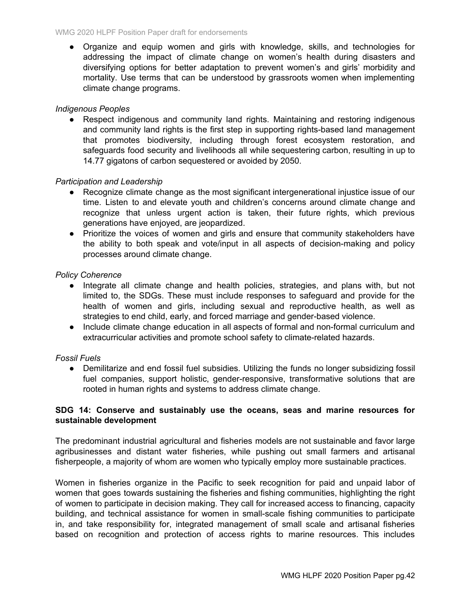● Organize and equip women and girls with knowledge, skills, and technologies for addressing the impact of climate change on women's health during disasters and diversifying options for better adaptation to prevent women's and girls' morbidity and mortality. Use terms that can be understood by grassroots women when implementing climate change programs.

### *Indigenous Peoples*

• Respect indigenous and community land rights. Maintaining and restoring indigenous and community land rights is the first step in supporting rights-based land management that promotes biodiversity, including through forest ecosystem restoration, and safeguards food security and livelihoods all while sequestering carbon, resulting in up to 14.77 gigatons of carbon sequestered or avoided by 2050.

### *Participation and Leadership*

- Recognize climate change as the most significant intergenerational injustice issue of our time. Listen to and elevate youth and children's concerns around climate change and recognize that unless urgent action is taken, their future rights, which previous generations have enjoyed, are jeopardized.
- Prioritize the voices of women and girls and ensure that community stakeholders have the ability to both speak and vote/input in all aspects of decision-making and policy processes around climate change.

### *Policy Coherence*

- Integrate all climate change and health policies, strategies, and plans with, but not limited to, the SDGs. These must include responses to safeguard and provide for the health of women and girls, including sexual and reproductive health, as well as strategies to end child, early, and forced marriage and gender-based violence.
- Include climate change education in all aspects of formal and non-formal curriculum and extracurricular activities and promote school safety to climate-related hazards.

### *Fossil Fuels*

● Demilitarize and end fossil fuel subsidies. Utilizing the funds no longer subsidizing fossil fuel companies, support holistic, gender-responsive, transformative solutions that are rooted in human rights and systems to address climate change.

### **SDG 14: Conserve and sustainably use the oceans, seas and marine resources for sustainable development**

The predominant industrial agricultural and fisheries models are not sustainable and favor large agribusinesses and distant water fisheries, while pushing out small farmers and artisanal fisherpeople, a majority of whom are women who typically employ more sustainable practices.

Women in fisheries organize in the Pacific to seek recognition for paid and unpaid labor of women that goes towards sustaining the fisheries and fishing communities, highlighting the right of women to participate in decision making. They call for increased access to financing, capacity building, and technical assistance for women in small-scale fishing communities to participate in, and take responsibility for, integrated management of small scale and artisanal fisheries based on recognition and protection of access rights to marine resources. This includes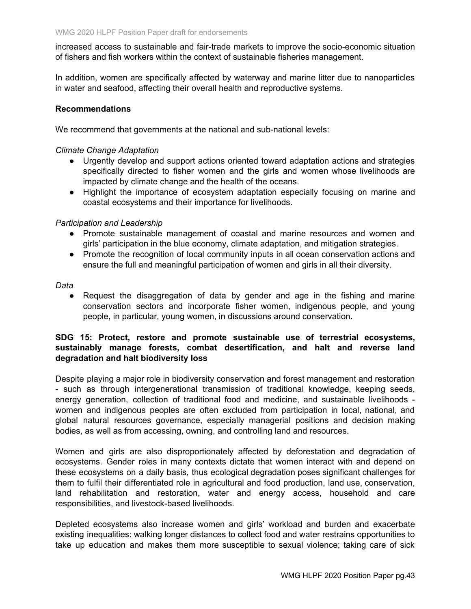increased access to sustainable and fair-trade markets to improve the socio-economic situation of fishers and fish workers within the context of sustainable fisheries management.

In addition, women are specifically affected by waterway and marine litter due to nanoparticles in water and seafood, affecting their overall health and reproductive systems.

### **Recommendations**

We recommend that governments at the national and sub-national levels:

### *Climate Change Adaptation*

- Urgently develop and support actions oriented toward adaptation actions and strategies specifically directed to fisher women and the girls and women whose livelihoods are impacted by climate change and the health of the oceans.
- Highlight the importance of ecosystem adaptation especially focusing on marine and coastal ecosystems and their importance for livelihoods.

### *Participation and Leadership*

- Promote sustainable management of coastal and marine resources and women and girls' participation in the blue economy, climate adaptation, and mitigation strategies.
- Promote the recognition of local community inputs in all ocean conservation actions and ensure the full and meaningful participation of women and girls in all their diversity.

### *Data*

● Request the disaggregation of data by gender and age in the fishing and marine conservation sectors and incorporate fisher women, indigenous people, and young people, in particular, young women, in discussions around conservation.

### **SDG 15: Protect, restore and promote sustainable use of terrestrial ecosystems, sustainably manage forests, combat desertification, and halt and reverse land degradation and halt biodiversity loss**

Despite playing a major role in biodiversity conservation and forest management and restoration - such as through intergenerational transmission of traditional knowledge, keeping seeds, energy generation, collection of traditional food and medicine, and sustainable livelihoods women and indigenous peoples are often excluded from participation in local, national, and global natural resources governance, especially managerial positions and decision making bodies, as well as from accessing, owning, and controlling land and resources.

Women and girls are also disproportionately affected by deforestation and degradation of ecosystems. Gender roles in many contexts dictate that women interact with and depend on these ecosystems on a daily basis, thus ecological degradation poses significant challenges for them to fulfil their differentiated role in agricultural and food production, land use, conservation, land rehabilitation and restoration, water and energy access, household and care responsibilities, and livestock-based livelihoods.

Depleted ecosystems also increase women and girls' workload and burden and exacerbate existing inequalities: walking longer distances to collect food and water restrains opportunities to take up education and makes them more susceptible to sexual violence; taking care of sick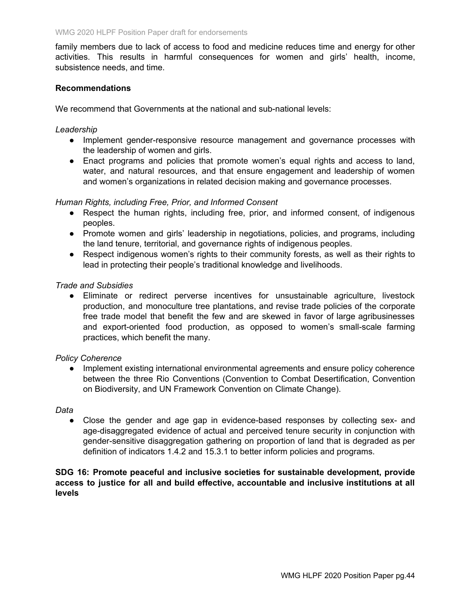family members due to lack of access to food and medicine reduces time and energy for other activities. This results in harmful consequences for women and girls' health, income, subsistence needs, and time.

### **Recommendations**

We recommend that Governments at the national and sub-national levels:

#### *Leadership*

- Implement gender-responsive resource management and governance processes with the leadership of women and girls.
- Enact programs and policies that promote women's equal rights and access to land, water, and natural resources, and that ensure engagement and leadership of women and women's organizations in related decision making and governance processes.

### *Human Rights, including Free, Prior, and Informed Consent*

- Respect the human rights, including free, prior, and informed consent, of indigenous peoples.
- Promote women and girls' leadership in negotiations, policies, and programs, including the land tenure, territorial, and governance rights of indigenous peoples.
- Respect indigenous women's rights to their community forests, as well as their rights to lead in protecting their people's traditional knowledge and livelihoods.

# *Trade and Subsidies*

● Eliminate or redirect perverse incentives for unsustainable agriculture, livestock production, and monoculture tree plantations, and revise trade policies of the corporate free trade model that benefit the few and are skewed in favor of large agribusinesses and export-oriented food production, as opposed to women's small-scale farming practices, which benefit the many.

### *Policy Coherence*

● Implement existing international environmental agreements and ensure policy coherence between the three Rio Conventions (Convention to Combat Desertification, Convention on Biodiversity, and UN Framework Convention on Climate Change).

#### *Data*

● Close the gender and age gap in evidence-based responses by collecting sex- and age-disaggregated evidence of actual and perceived tenure security in conjunction with gender-sensitive disaggregation gathering on proportion of land that is degraded as per definition of indicators 1.4.2 and 15.3.1 to better inform policies and programs.

### **SDG 16: Promote peaceful and inclusive societies for sustainable development, provide access to justice for all and build effective, accountable and inclusive institutions at all levels**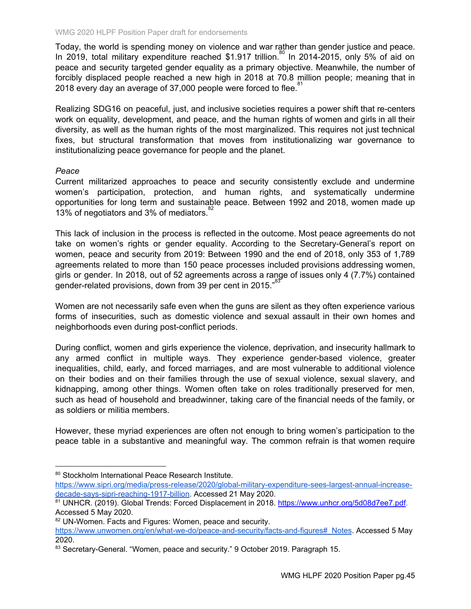Today, the world is spending money on violence and war rather than gender justice and peace. In 2019, total military expenditure reached \$1.917 trillion.<sup>80</sup> In 2014-2015, only 5% of aid on peace and security targeted gender equality as a primary objective. Meanwhile, the number of forcibly displaced people reached a new high in 2018 at 70.8 million people; meaning that in 2018 every day an average of 37,000 people were forced to flee.<sup>81</sup>

Realizing SDG16 on peaceful, just, and inclusive societies requires a power shift that re-centers work on equality, development, and peace, and the human rights of women and girls in all their diversity, as well as the human rights of the most marginalized. This requires not just technical fixes, but structural transformation that moves from institutionalizing war governance to institutionalizing peace governance for people and the planet.

### *Peace*

Current militarized approaches to peace and security consistently exclude and undermine women's participation, protection, and human rights, and systematically undermine opportunities for long term and sustainable peace. Between 1992 and 2018, women made up 13% of negotiators and 3% of mediators.<sup>82</sup>

This lack of inclusion in the process is reflected in the outcome. Most peace agreements do not take on women's rights or gender equality. According to the Secretary-General's report on women, peace and security from 2019: Between 1990 and the end of 2018, only 353 of 1,789 agreements related to more than 150 peace processes included provisions addressing women, girls or gender. In 2018, out of 52 agreements across a range of issues only 4 (7.7%) contained gender-related provisions, down from 39 per cent in 2015."<sup>83</sup>

Women are not necessarily safe even when the guns are silent as they often experience various forms of insecurities, such as domestic violence and sexual assault in their own homes and neighborhoods even during post-conflict periods.

During conflict, women and girls experience the violence, deprivation, and insecurity hallmark to any armed conflict in multiple ways. They experience gender-based violence, greater inequalities, child, early, and forced marriages, and are most vulnerable to additional violence on their bodies and on their families through the use of sexual violence, sexual slavery, and kidnapping, among other things. Women often take on roles traditionally preserved for men, such as head of household and breadwinner, taking care of the financial needs of the family, or as soldiers or militia members.

However, these myriad experiences are often not enough to bring women's participation to the peace table in a substantive and meaningful way. The common refrain is that women require

<sup>80</sup> Stockholm International Peace Research Institute.

[https://www.sipri.org/media/press-release/2020/global-military-expenditure-sees-largest-annual-increase](https://www.sipri.org/media/press-release/2020/global-military-expenditure-sees-largest-annual-increase-decade-says-sipri-reaching-1917-billion)[decade-says-sipri-reaching-1917-billion.](https://www.sipri.org/media/press-release/2020/global-military-expenditure-sees-largest-annual-increase-decade-says-sipri-reaching-1917-billion) Accessed 21 May 2020.

<sup>81</sup> UNHCR. (2019). Global Trends: Forced Displacement in 2018. <https://www.unhcr.org/5d08d7ee7.pdf>. Accessed 5 May 2020.

<sup>82</sup> UN-Women. Facts and Figures: Women, peace and security.

[https://www.unwomen.org/en/what-we-do/peace-and-security/facts-and-figures#\\_Notes.](https://www.unwomen.org/en/what-we-do/peace-and-security/facts-and-figures#_Notes) Accessed 5 May 2020.

<sup>83</sup> Secretary-General. "Women, peace and security." 9 October 2019. Paragraph 15.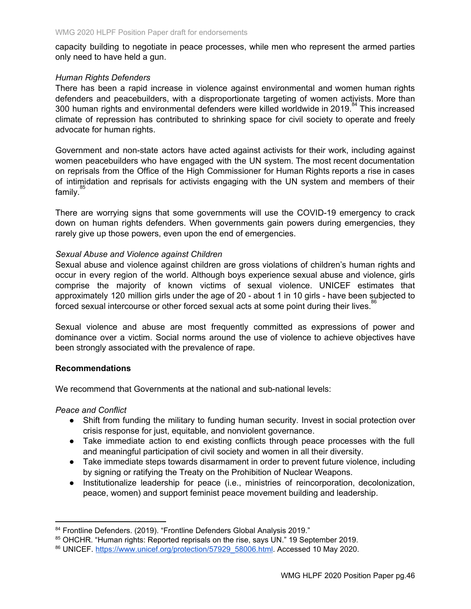capacity building to negotiate in peace processes, while men who represent the armed parties only need to have held a gun.

### *Human Rights Defenders*

There has been a rapid increase in violence against environmental and women human rights defenders and peacebuilders, with a disproportionate targeting of women activists. More than 300 human rights and environmental defenders were killed worldwide in 2019.<sup>84</sup> This increased climate of repression has contributed to shrinking space for civil society to operate and freely advocate for human rights.

Government and non-state actors have acted against activists for their work, including against women peacebuilders who have engaged with the UN system. The most recent documentation on reprisals from the Office of the High Commissioner for Human Rights reports a rise in cases of intimidation and reprisals for activists engaging with the UN system and members of their family.<sup>85</sup>

There are worrying signs that some governments will use the COVID-19 emergency to crack down on human rights defenders. When governments gain powers during emergencies, they rarely give up those powers, even upon the end of emergencies.

### *Sexual Abuse and Violence against Children*

Sexual abuse and violence against children are gross violations of children's human rights and occur in every region of the world. Although boys experience sexual abuse and violence, girls comprise the majority of known victims of sexual violence. UNICEF estimates that approximately 120 million girls under the age of 20 - about 1 in 10 girls - have been subjected to forced sexual intercourse or other forced sexual acts at some point during their lives.<sup>86</sup>

Sexual violence and abuse are most frequently committed as expressions of power and dominance over a victim. Social norms around the use of violence to achieve objectives have been strongly associated with the prevalence of rape.

### **Recommendations**

We recommend that Governments at the national and sub-national levels:

### *Peace and Conflict*

- Shift from funding the military to funding human security. Invest in social protection over crisis response for just, equitable, and nonviolent governance.
- Take immediate action to end existing conflicts through peace processes with the full and meaningful participation of civil society and women in all their diversity.
- Take immediate steps towards disarmament in order to prevent future violence, including by signing or ratifying the Treaty on the Prohibition of Nuclear Weapons.
- Institutionalize leadership for peace (i.e., ministries of reincorporation, decolonization, peace, women) and support feminist peace movement building and leadership.

<sup>84</sup> Frontline Defenders. (2019). "Frontline Defenders Global Analysis 2019."

<sup>85</sup> OHCHR. "Human rights: Reported reprisals on the rise, says UN." 19 September 2019.

<sup>86</sup> UNICEF. [https://www.unicef.org/protection/57929\\_58006.html.](https://www.unicef.org/protection/57929_58006.html) Accessed 10 May 2020.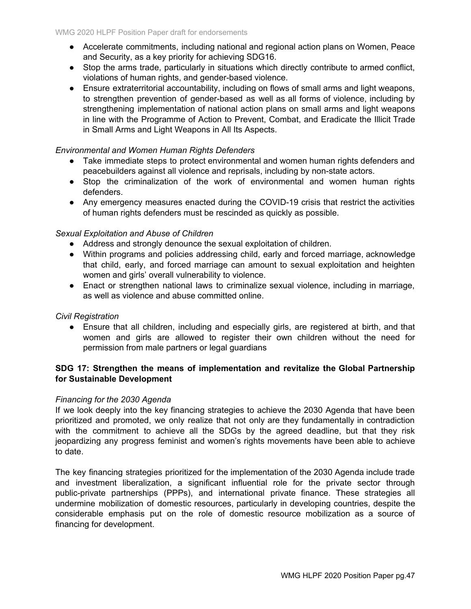- Accelerate commitments, including national and regional action plans on Women, Peace and Security, as a key priority for achieving SDG16.
- Stop the arms trade, particularly in situations which directly contribute to armed conflict, violations of human rights, and gender-based violence.
- Ensure extraterritorial accountability, including on flows of small arms and light weapons, to strengthen prevention of gender-based as well as all forms of violence, including by strengthening implementation of national action plans on small arms and light weapons in line with the Programme of Action to Prevent, Combat, and Eradicate the Illicit Trade in Small Arms and Light Weapons in All Its Aspects.

# *Environmental and Women Human Rights Defenders*

- Take immediate steps to protect environmental and women human rights defenders and peacebuilders against all violence and reprisals, including by non-state actors.
- Stop the criminalization of the work of environmental and women human rights defenders.
- Any emergency measures enacted during the COVID-19 crisis that restrict the activities of human rights defenders must be rescinded as quickly as possible.

# *Sexual Exploitation and Abuse of Children*

- Address and strongly denounce the sexual exploitation of children.
- Within programs and policies addressing child, early and forced marriage, acknowledge that child, early, and forced marriage can amount to sexual exploitation and heighten women and girls' overall vulnerability to violence.
- Enact or strengthen national laws to criminalize sexual violence, including in marriage, as well as violence and abuse committed online.

### *Civil Registration*

● Ensure that all children, including and especially girls, are registered at birth, and that women and girls are allowed to register their own children without the need for permission from male partners or legal guardians

### **SDG 17: Strengthen the means of implementation and revitalize the Global Partnership for Sustainable Development**

### *Financing for the 2030 Agenda*

If we look deeply into the key financing strategies to achieve the 2030 Agenda that have been prioritized and promoted, we only realize that not only are they fundamentally in contradiction with the commitment to achieve all the SDGs by the agreed deadline, but that they risk jeopardizing any progress feminist and women's rights movements have been able to achieve to date.

The key financing strategies prioritized for the implementation of the 2030 Agenda include trade and investment liberalization, a significant influential role for the private sector through public-private partnerships (PPPs), and international private finance. These strategies all undermine mobilization of domestic resources, particularly in developing countries, despite the considerable emphasis put on the role of domestic resource mobilization as a source of financing for development.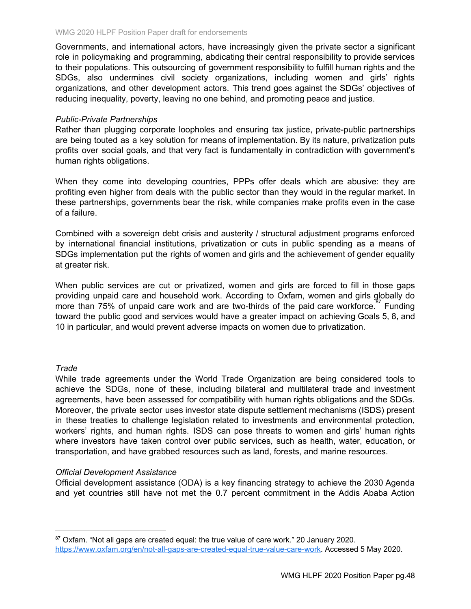Governments, and international actors, have increasingly given the private sector a significant role in policymaking and programming, abdicating their central responsibility to provide services to their populations. This outsourcing of government responsibility to fulfill human rights and the SDGs, also undermines civil society organizations, including women and girls' rights organizations, and other development actors. This trend goes against the SDGs' objectives of reducing inequality, poverty, leaving no one behind, and promoting peace and justice.

### *Public-Private Partnerships*

Rather than plugging corporate loopholes and ensuring tax justice, private-public partnerships are being touted as a key solution for means of implementation. By its nature, privatization puts profits over social goals, and that very fact is fundamentally in contradiction with government's human rights obligations.

When they come into developing countries, PPPs offer deals which are abusive: they are profiting even higher from deals with the public sector than they would in the regular market. In these partnerships, governments bear the risk, while companies make profits even in the case of a failure.

Combined with a sovereign debt crisis and austerity / structural adjustment programs enforced by international financial institutions, privatization or cuts in public spending as a means of SDGs implementation put the rights of women and girls and the achievement of gender equality at greater risk.

When public services are cut or privatized, women and girls are forced to fill in those gaps providing unpaid care and household work. According to Oxfam, women and girls globally do more than 75% of unpaid care work and are two-thirds of the paid care workforce.<sup>87</sup> Funding toward the public good and services would have a greater impact on achieving Goals 5, 8, and 10 in particular, and would prevent adverse impacts on women due to privatization.

### *Trade*

While trade agreements under the World Trade Organization are being considered tools to achieve the SDGs, none of these, including bilateral and multilateral trade and investment agreements, have been assessed for compatibility with human rights obligations and the SDGs. Moreover, the private sector uses investor state dispute settlement mechanisms (ISDS) present in these treaties to challenge legislation related to investments and environmental protection, workers' rights, and human rights. ISDS can pose threats to women and girls' human rights where investors have taken control over public services, such as health, water, education, or transportation, and have grabbed resources such as land, forests, and marine resources.

### *Official Development Assistance*

Official development assistance (ODA) is a key financing strategy to achieve the 2030 Agenda and yet countries still have not met the 0.7 percent commitment in the Addis Ababa Action

<sup>87</sup> Oxfam. "Not all gaps are created equal: the true value of care work." 20 January 2020. <https://www.oxfam.org/en/not-all-gaps-are-created-equal-true-value-care-work>. Accessed 5 May 2020.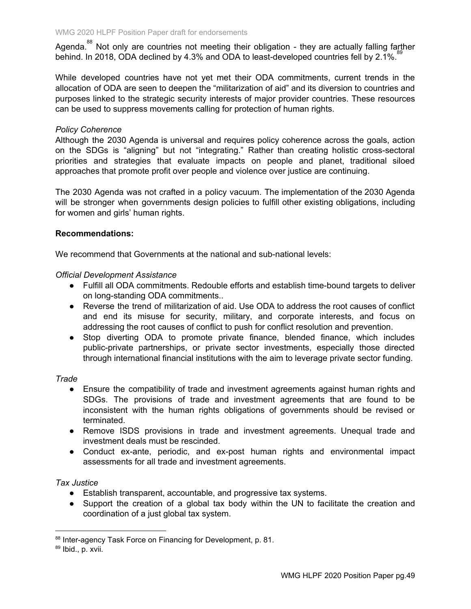Agenda.<sup>88</sup> Not only are countries not meeting their obligation - they are actually falling farther behind. In 2018, ODA declined by 4.3% and ODA to least-developed countries fell by 2.1%.<sup>89</sup>

While developed countries have not yet met their ODA commitments, current trends in the allocation of ODA are seen to deepen the "militarization of aid" and its diversion to countries and purposes linked to the strategic security interests of major provider countries. These resources can be used to suppress movements calling for protection of human rights.

### *Policy Coherence*

Although the 2030 Agenda is universal and requires policy coherence across the goals, action on the SDGs is "aligning" but not "integrating." Rather than creating holistic cross-sectoral priorities and strategies that evaluate impacts on people and planet, traditional siloed approaches that promote profit over people and violence over justice are continuing.

The 2030 Agenda was not crafted in a policy vacuum. The implementation of the 2030 Agenda will be stronger when governments design policies to fulfill other existing obligations, including for women and girls' human rights.

### **Recommendations:**

We recommend that Governments at the national and sub-national levels:

### *Official Development Assistance*

- Fulfill all ODA commitments. Redouble efforts and establish time-bound targets to deliver on long-standing ODA commitments..
- Reverse the trend of militarization of aid. Use ODA to address the root causes of conflict and end its misuse for security, military, and corporate interests, and focus on addressing the root causes of conflict to push for conflict resolution and prevention.
- Stop diverting ODA to promote private finance, blended finance, which includes public-private partnerships, or private sector investments, especially those directed through international financial institutions with the aim to leverage private sector funding.

### *Trade*

- Ensure the compatibility of trade and investment agreements against human rights and SDGs. The provisions of trade and investment agreements that are found to be inconsistent with the human rights obligations of governments should be revised or terminated.
- Remove ISDS provisions in trade and investment agreements. Unequal trade and investment deals must be rescinded.
- Conduct ex-ante, periodic, and ex-post human rights and environmental impact assessments for all trade and investment agreements.

### *Tax Justice*

- Establish transparent, accountable, and progressive tax systems.
- Support the creation of a global tax body within the UN to facilitate the creation and coordination of a just global tax system.

<sup>88</sup> Inter-agency Task Force on Financing for Development, p. 81.

<sup>89</sup> Ibid., p. xvii.